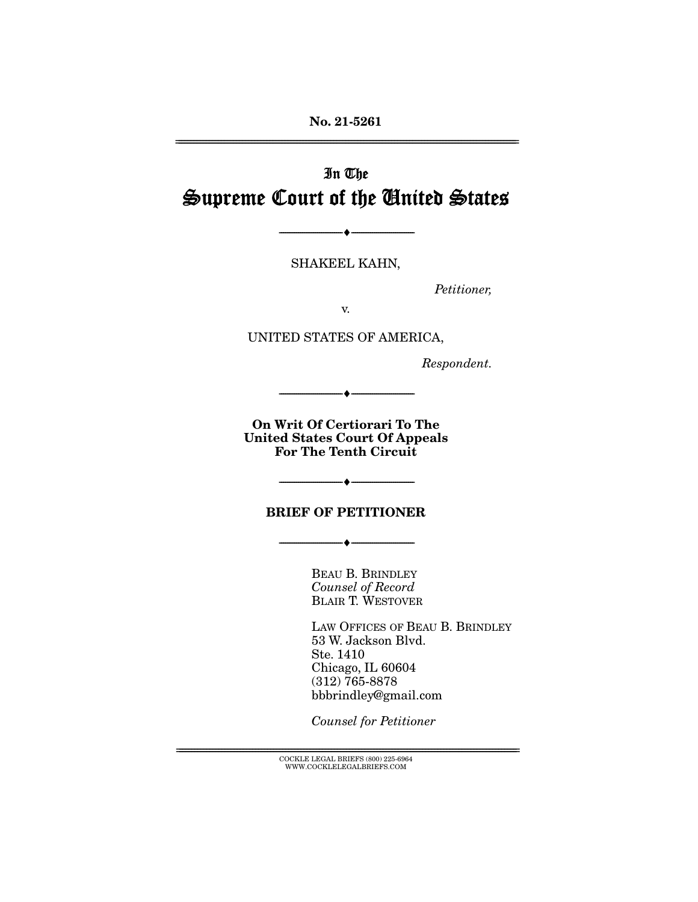**No. 21-5261**  ================================================================================================================

# In The Supreme Court of the United States

SHAKEEL KAHN,

 $\bullet$  -

Petitioner,

v.

UNITED STATES OF AMERICA,

Respondent.

**On Writ Of Certiorari To The United States Court Of Appeals For The Tenth Circuit** 

 $+$   $-$ 

#### **BRIEF OF PETITIONER**

--------------------------------- ♦ ---------------------------------

--------------------------------- ♦ ---------------------------------

BEAU B. BRINDLEY Counsel of Record BLAIR T. WESTOVER

LAW OFFICES OF BEAU B. BRINDLEY 53 W. Jackson Blvd. Ste. 1410 Chicago, IL 60604 (312) 765-8878 bbbrindley@gmail.com

Counsel for Petitioner

 ${ \rm COCKLE}$  LEGAL BRIEFS (800) 225-6964 WWW.COCKLELEGALBRIEFS.COM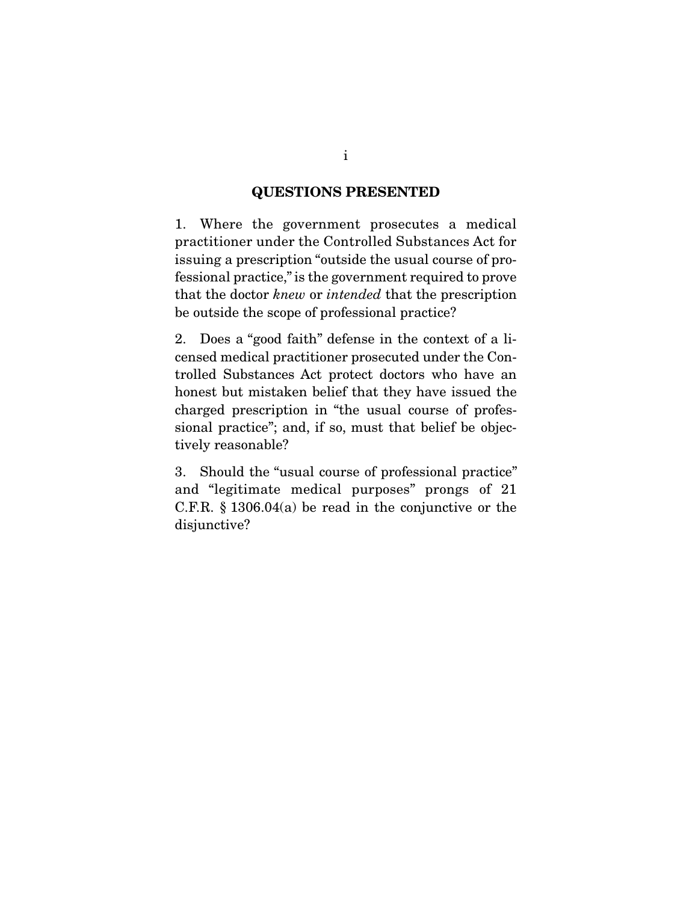### **QUESTIONS PRESENTED**

1. Where the government prosecutes a medical practitioner under the Controlled Substances Act for issuing a prescription "outside the usual course of professional practice," is the government required to prove that the doctor knew or intended that the prescription be outside the scope of professional practice?

2. Does a "good faith" defense in the context of a licensed medical practitioner prosecuted under the Controlled Substances Act protect doctors who have an honest but mistaken belief that they have issued the charged prescription in "the usual course of professional practice"; and, if so, must that belief be objectively reasonable?

3. Should the "usual course of professional practice" and "legitimate medical purposes" prongs of 21 C.F.R. § 1306.04(a) be read in the conjunctive or the disjunctive?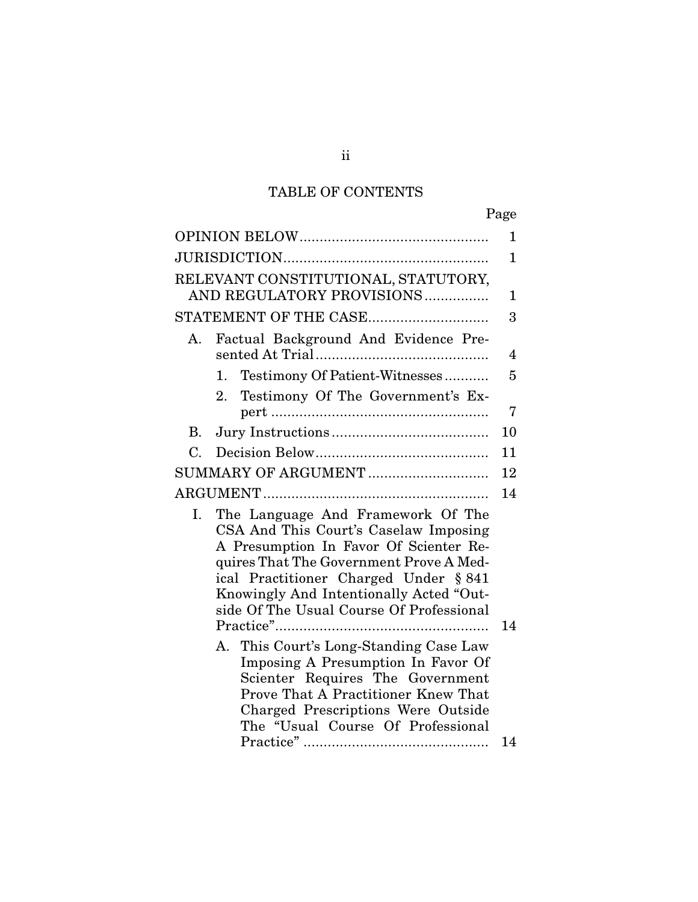# TABLE OF CONTENTS

|                                                                                                                                                                                                                                                                                                       | Page         |
|-------------------------------------------------------------------------------------------------------------------------------------------------------------------------------------------------------------------------------------------------------------------------------------------------------|--------------|
|                                                                                                                                                                                                                                                                                                       | 1            |
|                                                                                                                                                                                                                                                                                                       | $\mathbf{1}$ |
| RELEVANT CONSTITUTIONAL, STATUTORY,<br>AND REGULATORY PROVISIONS                                                                                                                                                                                                                                      | $\mathbf 1$  |
| STATEMENT OF THE CASE                                                                                                                                                                                                                                                                                 | 3            |
| Factual Background And Evidence Pre-<br>А.                                                                                                                                                                                                                                                            | 4            |
| Testimony Of Patient-Witnesses<br>1.                                                                                                                                                                                                                                                                  | 5            |
| Testimony Of The Government's Ex-<br>2.                                                                                                                                                                                                                                                               | 7            |
| В.                                                                                                                                                                                                                                                                                                    | 10           |
| C.                                                                                                                                                                                                                                                                                                    | 11           |
| SUMMARY OF ARGUMENT                                                                                                                                                                                                                                                                                   | 12           |
|                                                                                                                                                                                                                                                                                                       | 14           |
| The Language And Framework Of The<br>Ι.<br>CSA And This Court's Caselaw Imposing<br>A Presumption In Favor Of Scienter Re-<br>quires That The Government Prove A Med-<br>ical Practitioner Charged Under § 841<br>Knowingly And Intentionally Acted "Out-<br>side Of The Usual Course Of Professional |              |
|                                                                                                                                                                                                                                                                                                       | 14           |
| A. This Court's Long-Standing Case Law<br>Imposing A Presumption In Favor Of<br>Scienter Requires The Government<br><b>Prove That A Practitioner Knew That</b><br>Charged Prescriptions Were Outside<br>The "Usual Course Of Professional                                                             |              |
|                                                                                                                                                                                                                                                                                                       | 14           |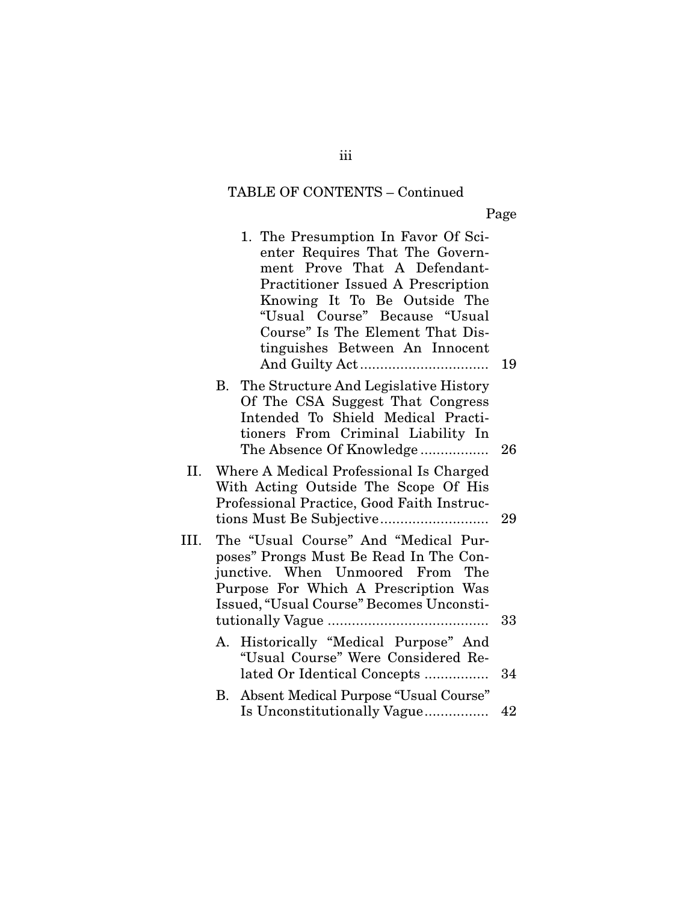## TABLE OF CONTENTS – Continued

Page

|      | 1. The Presumption In Favor Of Sci-<br>enter Requires That The Govern-<br>ment Prove That A Defendant-<br><b>Practitioner Issued A Prescription</b><br>Knowing It To Be Outside The<br>"Usual Course" Because "Usual<br>Course" Is The Element That Dis-<br>tinguishes Between An Innocent | 19 |
|------|--------------------------------------------------------------------------------------------------------------------------------------------------------------------------------------------------------------------------------------------------------------------------------------------|----|
|      | B. The Structure And Legislative History<br>Of The CSA Suggest That Congress<br>Intended To Shield Medical Practi-<br>tioners From Criminal Liability In<br>The Absence Of Knowledge                                                                                                       | 26 |
| II.  | Where A Medical Professional Is Charged<br>With Acting Outside The Scope Of His<br>Professional Practice, Good Faith Instruc-                                                                                                                                                              | 29 |
| III. | The "Usual Course" And "Medical Pur-<br>poses" Prongs Must Be Read In The Con-<br>junctive. When Unmoored From The<br>Purpose For Which A Prescription Was<br>Issued, "Usual Course" Becomes Unconsti-                                                                                     | 33 |
|      | Historically "Medical Purpose" And<br>А.<br>"Usual Course" Were Considered Re-<br>lated Or Identical Concepts                                                                                                                                                                              | 34 |
|      | Absent Medical Purpose "Usual Course"<br>В.<br>Is Unconstitutionally Vague                                                                                                                                                                                                                 | 42 |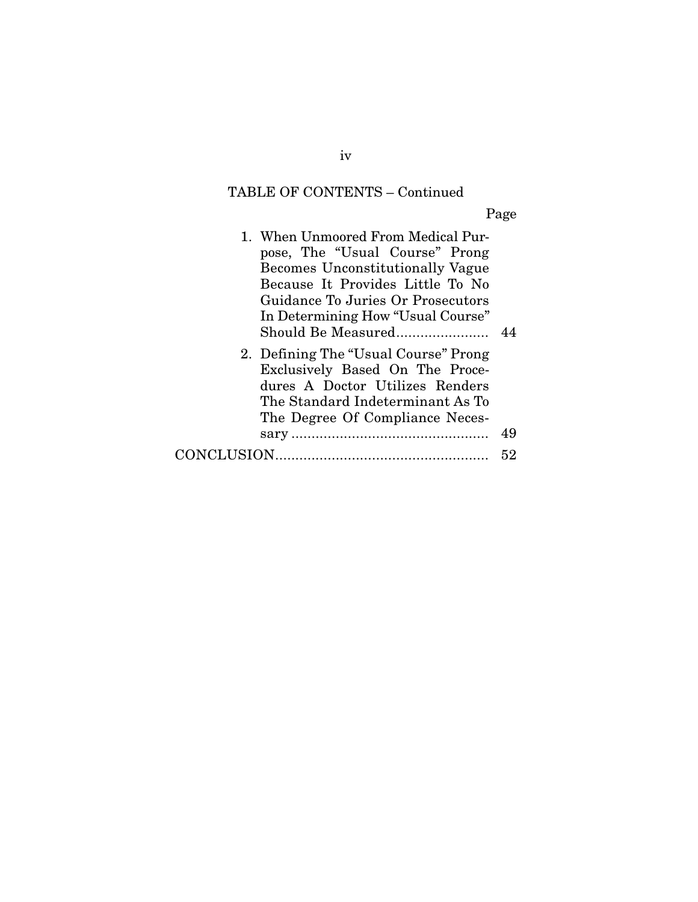# TABLE OF CONTENTS – Continued

Page

| 1. When Unmoored From Medical Pur-<br>pose, The "Usual Course" Prong<br><b>Becomes Unconstitutionally Vague</b><br>Because It Provides Little To No<br>Guidance To Juries Or Prosecutors<br>In Determining How "Usual Course"<br>Should Be Measured |    |
|-----------------------------------------------------------------------------------------------------------------------------------------------------------------------------------------------------------------------------------------------------|----|
| 2. Defining The "Usual Course" Prong<br>Exclusively Based On The Proce-<br>dures A Doctor Utilizes Renders<br>The Standard Indeterminant As To<br>The Degree Of Compliance Neces-                                                                   |    |
|                                                                                                                                                                                                                                                     | 49 |
|                                                                                                                                                                                                                                                     | 52 |

iv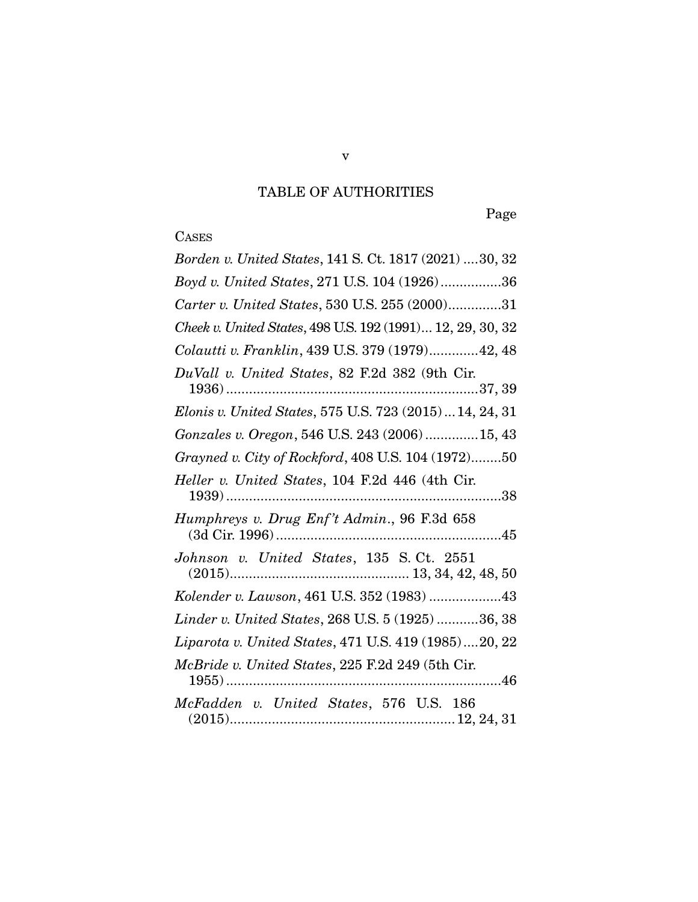# TABLE OF AUTHORITIES

Page

# **CASES**

| Borden v. United States, 141 S. Ct. 1817 (2021) 30, 32     |
|------------------------------------------------------------|
| Boyd v. United States, 271 U.S. 104 (1926)36               |
| Carter v. United States, 530 U.S. 255 (2000)31             |
| Cheek v. United States, 498 U.S. 192 (1991) 12, 29, 30, 32 |
| Colautti v. Franklin, 439 U.S. 379 (1979) 42, 48           |
| DuVall v. United States, 82 F.2d 382 (9th Cir.             |
| Elonis v. United States, 575 U.S. 723 (2015) 14, 24, 31    |
| Gonzales v. Oregon, 546 U.S. 243 (2006)  15, 43            |
| Grayned v. City of Rockford, 408 U.S. 104 (1972)50         |
| Heller v. United States, 104 F.2d 446 (4th Cir.            |
| Humphreys v. Drug Enf't Admin., 96 F.3d 658                |
|                                                            |
| Kolender v. Lawson, 461 U.S. 352 (1983) 43                 |
| Linder v. United States, 268 U.S. 5 (1925) 36, 38          |
| Liparota v. United States, 471 U.S. 419 (1985)20, 22       |
| McBride v. United States, 225 F.2d 249 (5th Cir.           |
| McFadden v. United States, 576 U.S. 186                    |

v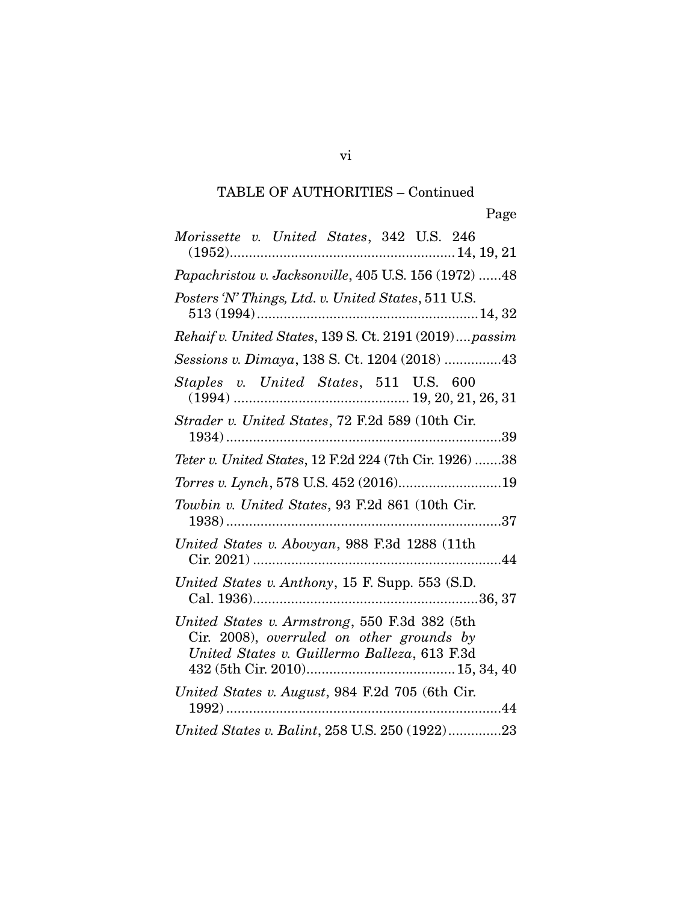| Morissette v. United States, 342 U.S. 246                                                                                                                                                                                                                                                |
|------------------------------------------------------------------------------------------------------------------------------------------------------------------------------------------------------------------------------------------------------------------------------------------|
| Papachristou v. Jacksonville, 405 U.S. 156 (1972) 48                                                                                                                                                                                                                                     |
| Posters 'N' Things, Ltd. v. United States, 511 U.S.                                                                                                                                                                                                                                      |
| Rehaif v. United States, 139 S. Ct. 2191 (2019)passim                                                                                                                                                                                                                                    |
| Sessions v. Dimaya, 138 S. Ct. 1204 (2018) 43                                                                                                                                                                                                                                            |
| Staples v. United States, 511 U.S. 600                                                                                                                                                                                                                                                   |
| Strader v. United States, 72 F.2d 589 (10th Cir.<br>39                                                                                                                                                                                                                                   |
| Teter v. United States, 12 F.2d 224 (7th Cir. 1926) 38                                                                                                                                                                                                                                   |
| Torres v. Lynch, 578 U.S. 452 (2016)19                                                                                                                                                                                                                                                   |
| Towbin v. United States, 93 F.2d 861 (10th Cir.                                                                                                                                                                                                                                          |
| United States v. Abovyan, 988 F.3d 1288 (11th                                                                                                                                                                                                                                            |
| United States v. Anthony, 15 F. Supp. 553 (S.D.                                                                                                                                                                                                                                          |
| United States v. Armstrong, 550 F.3d 382 (5th<br>$C$ ir. 2008), overruled on other grounds by<br>United States v. Guillermo Balleza, 613 F.3d<br>$432\, (5 \text{th} \ C \text{ir.} \ 2010) \dots \dots \dots \dots \dots \dots \dots \dots \dots \dots \dots \dots \, 15, \, 34, \, 40$ |
| United States v. August, 984 F.2d 705 (6th Cir.<br>44                                                                                                                                                                                                                                    |
| United States v. Balint, 258 U.S. 250 (1922)23                                                                                                                                                                                                                                           |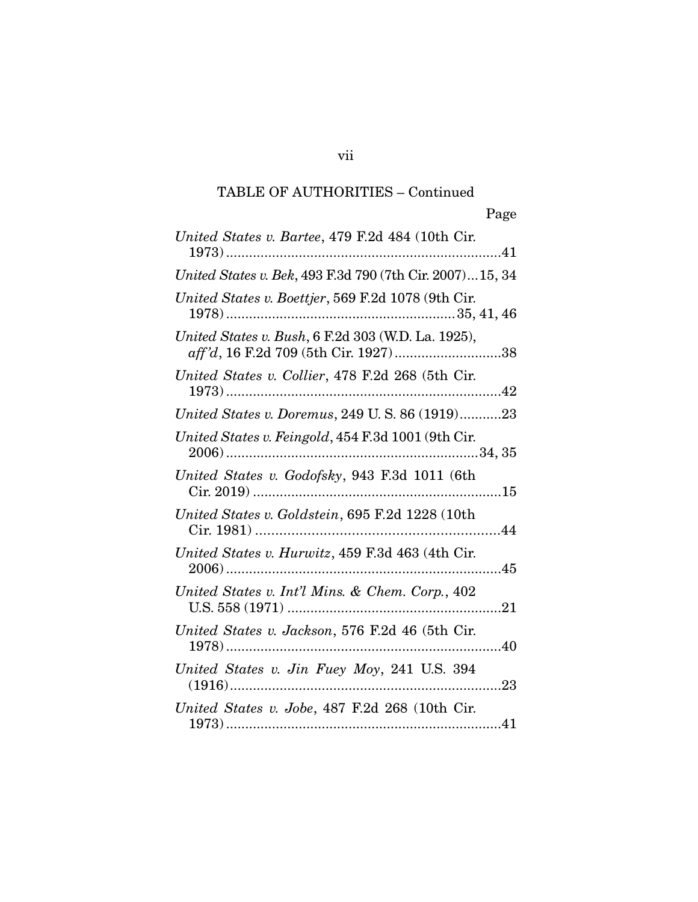| United States v. Bartee, 479 F.2d 484 (10th Cir.                                           |
|--------------------------------------------------------------------------------------------|
| United States v. Bek, 493 F.3d 790 (7th Cir. 2007) 15, 34                                  |
| United States v. Boettjer, 569 F.2d 1078 (9th Cir.                                         |
| United States v. Bush, 6 F.2d 303 (W.D. La. 1925),<br>aff'd, 16 F.2d 709 (5th Cir. 1927)38 |
| United States v. Collier, 478 F.2d 268 (5th Cir.                                           |
| United States v. Doremus, 249 U.S. 86 (1919)23                                             |
| United States v. Feingold, 454 F.3d 1001 (9th Cir.                                         |
| United States v. Godofsky, 943 F.3d 1011 (6th                                              |
| United States v. Goldstein, 695 F.2d 1228 (10th                                            |
| United States v. Hurwitz, 459 F.3d 463 (4th Cir.                                           |
| United States v. Int'l Mins. & Chem. Corp., 402                                            |
| United States v. Jackson, 576 F.2d 46 (5th Cir.                                            |
| United States v. Jin Fuey Moy, 241 U.S. 394                                                |
| United States v. Jobe, 487 F.2d 268 (10th Cir.                                             |

vii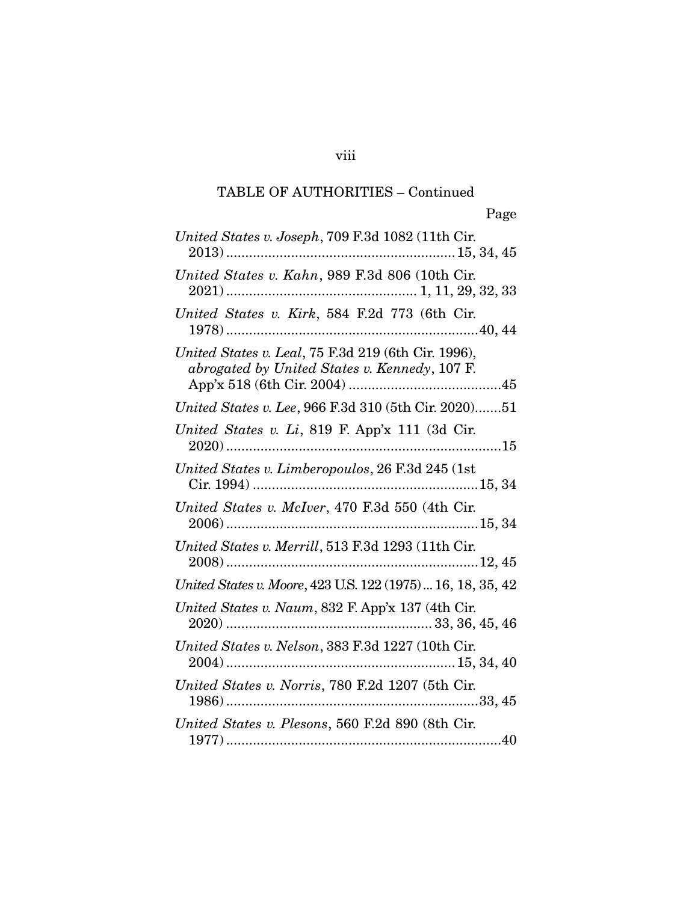| United States v. Joseph, 709 F.3d 1082 (11th Cir.                                                    |
|------------------------------------------------------------------------------------------------------|
| United States v. Kahn, 989 F.3d 806 (10th Cir.                                                       |
| United States v. Kirk, 584 F.2d 773 (6th Cir.                                                        |
| United States v. Leal, 75 F.3d 219 (6th Cir. 1996),<br>abrogated by United States v. Kennedy, 107 F. |
| United States v. Lee, 966 F.3d 310 (5th Cir. 2020)51                                                 |
| United States v. Li, 819 F. App'x 111 (3d Cir.                                                       |
| United States v. Limberopoulos, 26 F.3d 245 (1st                                                     |
| United States v. McIver, 470 F.3d 550 (4th Cir.                                                      |
| United States v. Merrill, 513 F.3d 1293 (11th Cir.                                                   |
| United States v. Moore, 423 U.S. 122 (1975)  16, 18, 35, 42                                          |
| United States v. Naum, 832 F. App'x 137 (4th Cir.                                                    |
| United States v. Nelson, 383 F.3d 1227 (10th Cir.                                                    |
| United States v. Norris, 780 F.2d 1207 (5th Cir.                                                     |
| United States v. Plesons, 560 F.2d 890 (8th Cir.                                                     |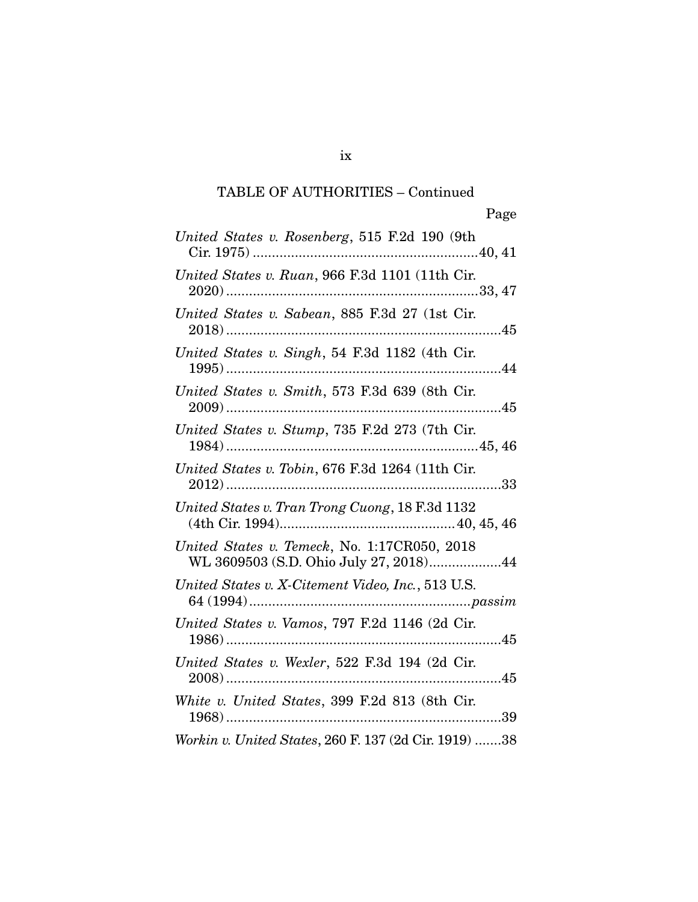| United States v. Rosenberg, 515 F.2d 190 (9th                                          |
|----------------------------------------------------------------------------------------|
| United States v. Ruan, 966 F.3d 1101 (11th Cir.                                        |
| United States v. Sabean, 885 F.3d 27 (1st Cir.                                         |
| United States v. Singh, 54 F.3d 1182 (4th Cir.                                         |
| United States v. Smith, 573 F.3d 639 (8th Cir.                                         |
| United States v. Stump, 735 F.2d 273 (7th Cir.                                         |
| United States v. Tobin, 676 F.3d 1264 (11th Cir.                                       |
| United States v. Tran Trong Cuong, 18 F.3d 1132                                        |
| United States v. Temeck, No. 1:17CR050, 2018<br>WL 3609503 (S.D. Ohio July 27, 2018)44 |
| United States v. X-Citement Video, Inc., 513 U.S.                                      |
| United States v. Vamos, 797 F.2d 1146 (2d Cir.                                         |
| United States v. Wexler, 522 F.3d 194 (2d Cir.                                         |
| White v. United States, 399 F.2d 813 (8th Cir.                                         |
| Workin v. United States, 260 F. 137 (2d Cir. 1919) 38                                  |

ix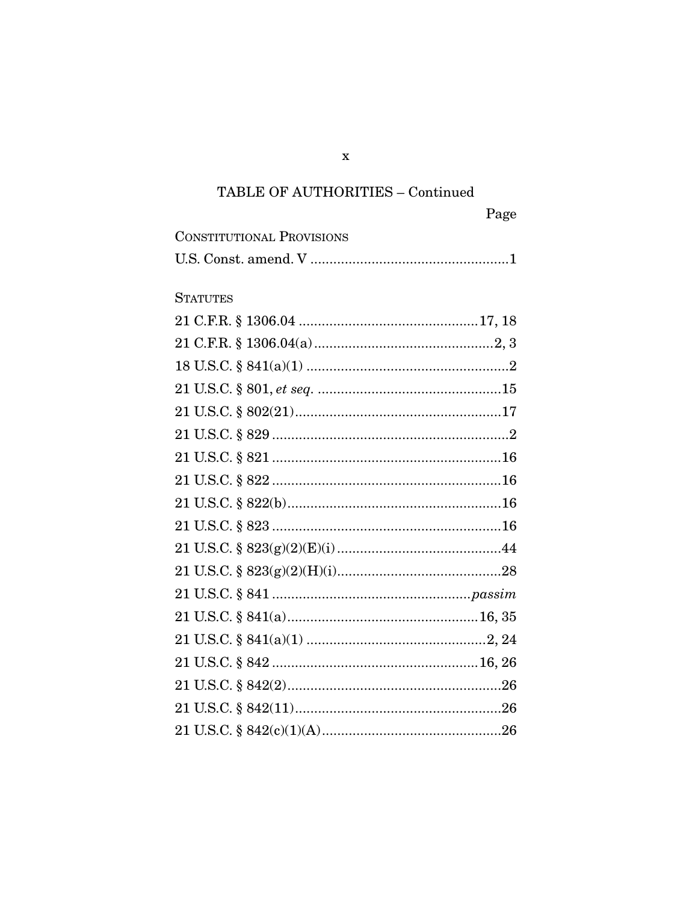| <b>CONSTITUTIONAL PROVISIONS</b> |  |
|----------------------------------|--|
|                                  |  |

## **STATUTES**

 $\mathbf X$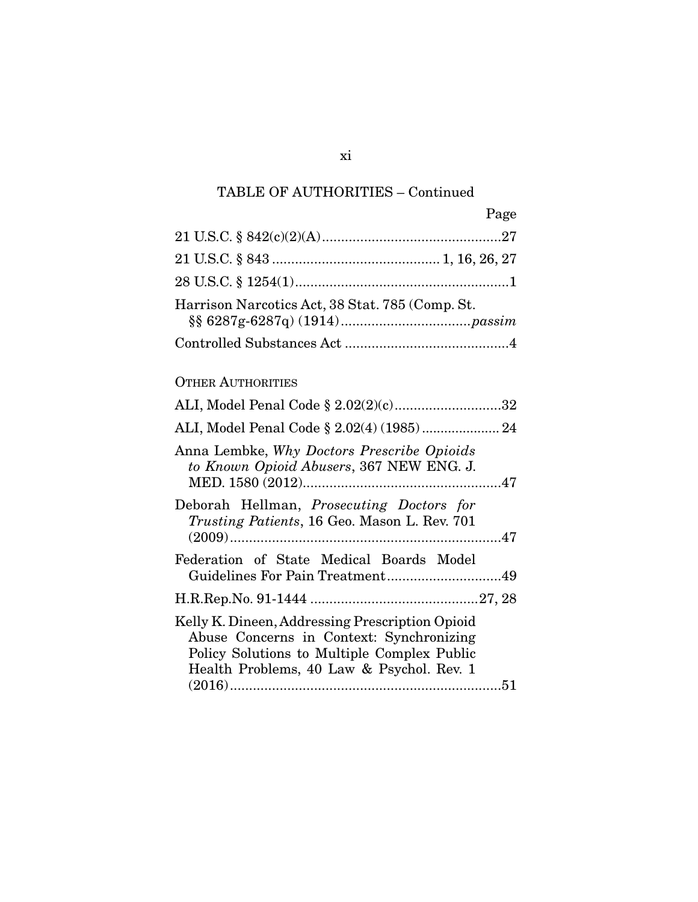|                                                 | Page |
|-------------------------------------------------|------|
|                                                 |      |
|                                                 |      |
|                                                 |      |
| Harrison Narcotics Act, 38 Stat. 785 (Comp. St. |      |
|                                                 |      |

## OTHER AUTHORITIES

| ALI, Model Penal Code § 2.02(2)(c)32                                                                                                                                                    |  |
|-----------------------------------------------------------------------------------------------------------------------------------------------------------------------------------------|--|
| ALI, Model Penal Code § 2.02(4) (1985) 24                                                                                                                                               |  |
| Anna Lembke, Why Doctors Prescribe Opioids<br>to Known Opioid Abusers, 367 NEW ENG. J.                                                                                                  |  |
| Deborah Hellman, <i>Prosecuting Doctors for</i><br><i>Trusting Patients</i> , 16 Geo. Mason L. Rev. 701                                                                                 |  |
| Federation of State Medical Boards Model                                                                                                                                                |  |
|                                                                                                                                                                                         |  |
| Kelly K. Dineen, Addressing Prescription Opioid<br>Abuse Concerns in Context: Synchronizing<br>Policy Solutions to Multiple Complex Public<br>Health Problems, 40 Law & Psychol. Rev. 1 |  |
|                                                                                                                                                                                         |  |

### xi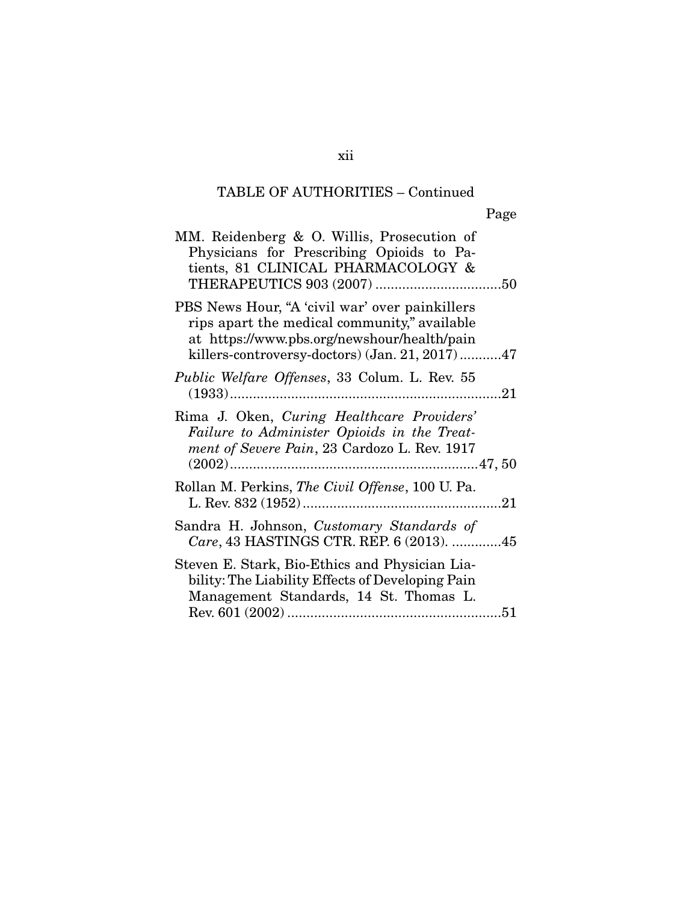| MM. Reidenberg & O. Willis, Prosecution of<br>Physicians for Prescribing Opioids to Pa-<br>tients, 81 CLINICAL PHARMACOLOGY &                                                                   |
|-------------------------------------------------------------------------------------------------------------------------------------------------------------------------------------------------|
| PBS News Hour, "A 'civil war' over painkillers<br>rips apart the medical community," available<br>at https://www.pbs.org/newshour/health/pain<br>killers-controversy-doctors) (Jan. 21, 2017)47 |
| <i>Public Welfare Offenses</i> , 33 Colum. L. Rev. 55                                                                                                                                           |
| Rima J. Oken, Curing Healthcare Providers'<br>Failure to Administer Opioids in the Treat-<br>ment of Severe Pain, 23 Cardozo L. Rev. 1917                                                       |
| Rollan M. Perkins, The Civil Offense, 100 U. Pa.                                                                                                                                                |
| Sandra H. Johnson, Customary Standards of<br>Care, 43 HASTINGS CTR. REP. 6 (2013). 45                                                                                                           |
| Steven E. Stark, Bio-Ethics and Physician Lia-<br>bility: The Liability Effects of Developing Pain<br>Management Standards, 14 St. Thomas L.                                                    |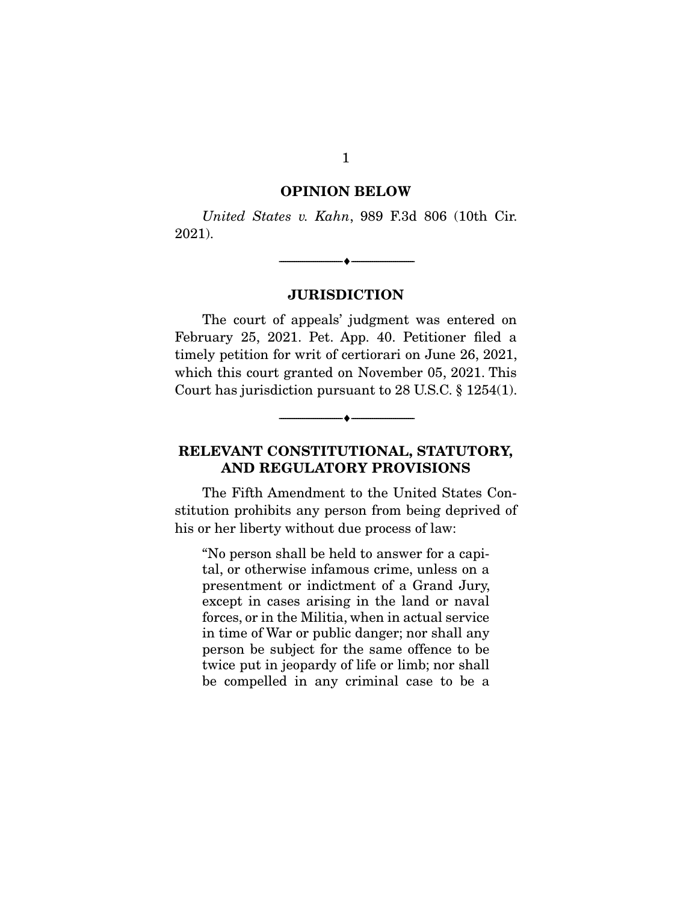#### **OPINION BELOW**

United States v. Kahn, 989 F.3d 806 (10th Cir. 2021).

#### **JURISDICTION**

--------------------------------- ♦ ---------------------------------

The court of appeals' judgment was entered on February 25, 2021. Pet. App. 40. Petitioner filed a timely petition for writ of certiorari on June 26, 2021, which this court granted on November 05, 2021. This Court has jurisdiction pursuant to 28 U.S.C. § 1254(1).

## **RELEVANT CONSTITUTIONAL, STATUTORY, AND REGULATORY PROVISIONS**

--------------------------------- ♦ ---------------------------------

The Fifth Amendment to the United States Constitution prohibits any person from being deprived of his or her liberty without due process of law:

"No person shall be held to answer for a capital, or otherwise infamous crime, unless on a presentment or indictment of a Grand Jury, except in cases arising in the land or naval forces, or in the Militia, when in actual service in time of War or public danger; nor shall any person be subject for the same offence to be twice put in jeopardy of life or limb; nor shall be compelled in any criminal case to be a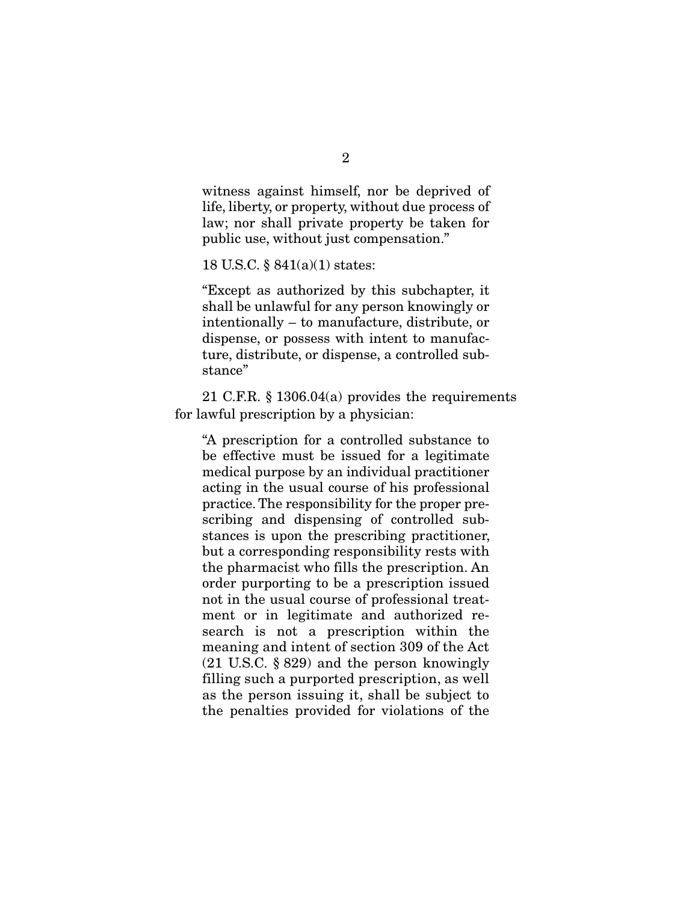witness against himself, nor be deprived of life, liberty, or property, without due process of law; nor shall private property be taken for public use, without just compensation."

18 U.S.C. § 841(a)(1) states:

"Except as authorized by this subchapter, it shall be unlawful for any person knowingly or intentionally – to manufacture, distribute, or dispense, or possess with intent to manufacture, distribute, or dispense, a controlled substance"

 21 C.F.R. § 1306.04(a) provides the requirements for lawful prescription by a physician:

"A prescription for a controlled substance to be effective must be issued for a legitimate medical purpose by an individual practitioner acting in the usual course of his professional practice. The responsibility for the proper prescribing and dispensing of controlled substances is upon the prescribing practitioner, but a corresponding responsibility rests with the pharmacist who fills the prescription. An order purporting to be a prescription issued not in the usual course of professional treatment or in legitimate and authorized research is not a prescription within the meaning and intent of section 309 of the Act (21 U.S.C. § 829) and the person knowingly filling such a purported prescription, as well as the person issuing it, shall be subject to the penalties provided for violations of the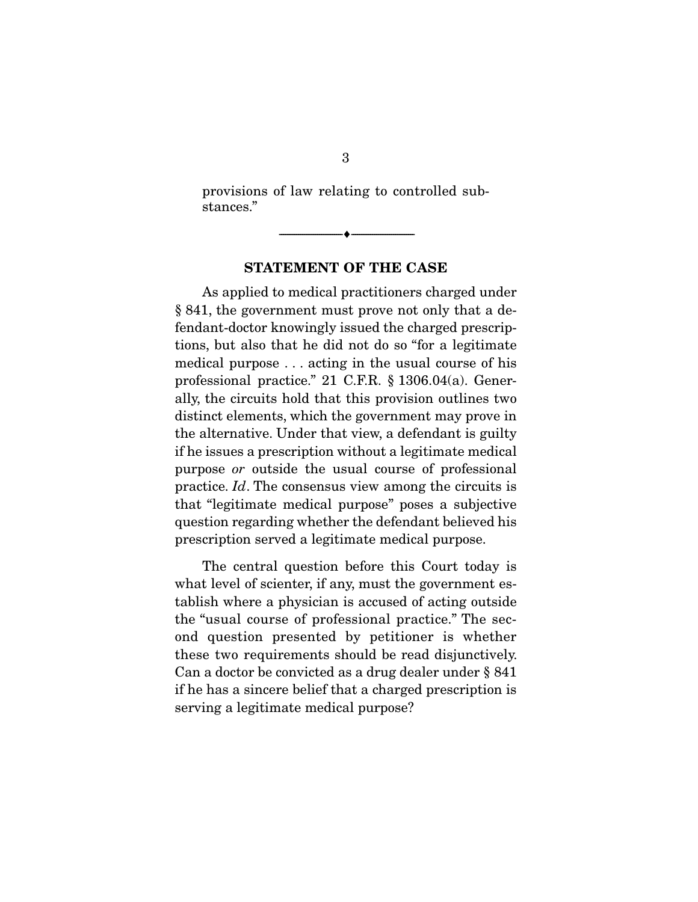provisions of law relating to controlled substances."

--------------------------------- ♦ ---------------------------------

#### **STATEMENT OF THE CASE**

As applied to medical practitioners charged under § 841, the government must prove not only that a defendant-doctor knowingly issued the charged prescriptions, but also that he did not do so "for a legitimate medical purpose . . . acting in the usual course of his professional practice." 21 C.F.R. § 1306.04(a). Generally, the circuits hold that this provision outlines two distinct elements, which the government may prove in the alternative. Under that view, a defendant is guilty if he issues a prescription without a legitimate medical purpose or outside the usual course of professional practice. Id. The consensus view among the circuits is that "legitimate medical purpose" poses a subjective question regarding whether the defendant believed his prescription served a legitimate medical purpose.

 The central question before this Court today is what level of scienter, if any, must the government establish where a physician is accused of acting outside the "usual course of professional practice." The second question presented by petitioner is whether these two requirements should be read disjunctively. Can a doctor be convicted as a drug dealer under § 841 if he has a sincere belief that a charged prescription is serving a legitimate medical purpose?

3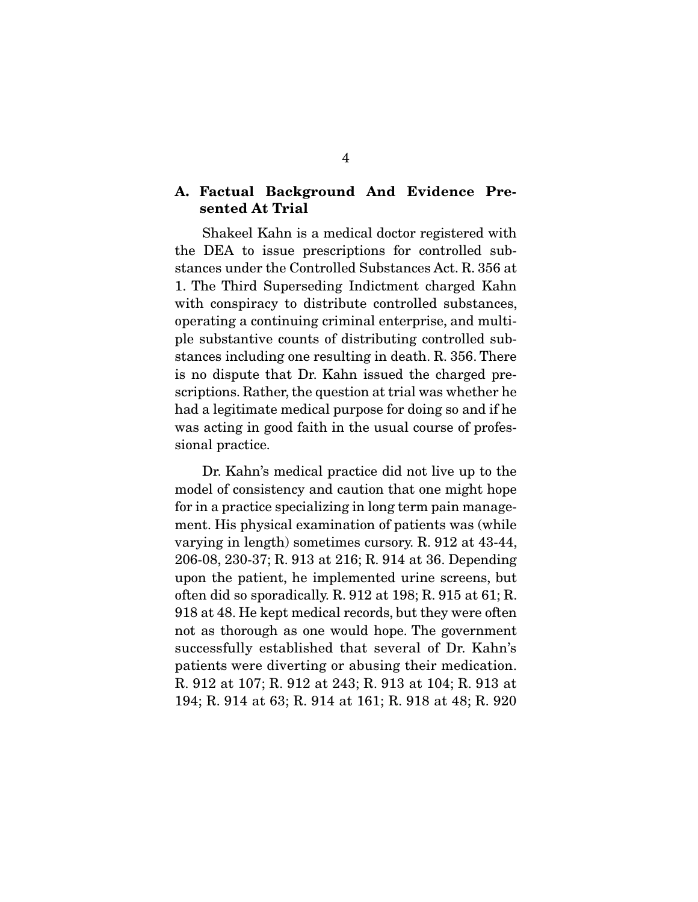### **A. Factual Background And Evidence Presented At Trial**

 Shakeel Kahn is a medical doctor registered with the DEA to issue prescriptions for controlled substances under the Controlled Substances Act. R. 356 at 1. The Third Superseding Indictment charged Kahn with conspiracy to distribute controlled substances, operating a continuing criminal enterprise, and multiple substantive counts of distributing controlled substances including one resulting in death. R. 356. There is no dispute that Dr. Kahn issued the charged prescriptions. Rather, the question at trial was whether he had a legitimate medical purpose for doing so and if he was acting in good faith in the usual course of professional practice.

 Dr. Kahn's medical practice did not live up to the model of consistency and caution that one might hope for in a practice specializing in long term pain management. His physical examination of patients was (while varying in length) sometimes cursory. R. 912 at 43-44, 206-08, 230-37; R. 913 at 216; R. 914 at 36. Depending upon the patient, he implemented urine screens, but often did so sporadically. R. 912 at 198; R. 915 at 61; R. 918 at 48. He kept medical records, but they were often not as thorough as one would hope. The government successfully established that several of Dr. Kahn's patients were diverting or abusing their medication. R. 912 at 107; R. 912 at 243; R. 913 at 104; R. 913 at 194; R. 914 at 63; R. 914 at 161; R. 918 at 48; R. 920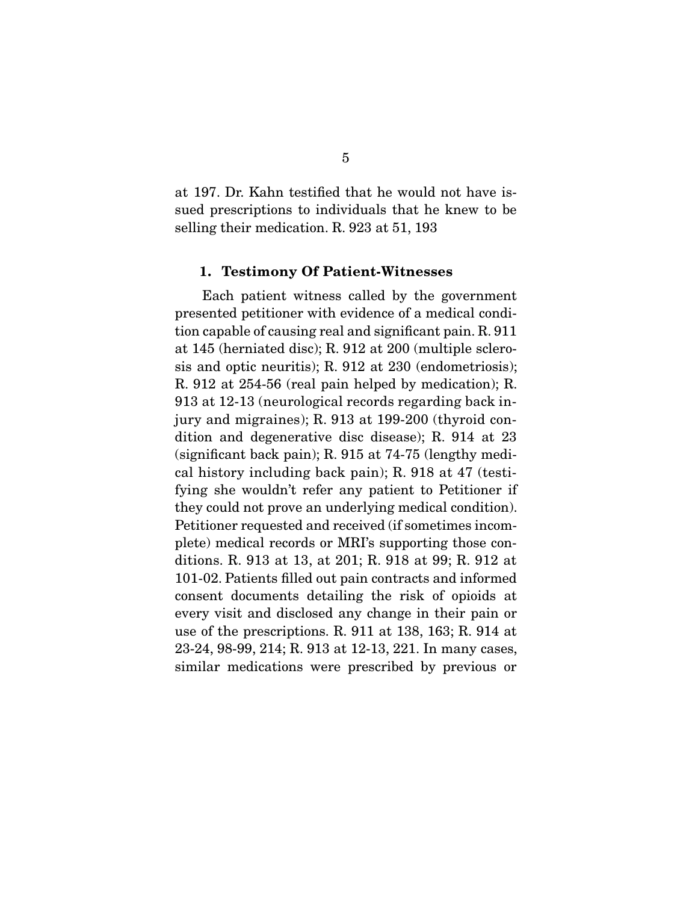at 197. Dr. Kahn testified that he would not have issued prescriptions to individuals that he knew to be selling their medication. R. 923 at 51, 193

#### **1. Testimony Of Patient-Witnesses**

 Each patient witness called by the government presented petitioner with evidence of a medical condition capable of causing real and significant pain. R. 911 at 145 (herniated disc); R. 912 at 200 (multiple sclerosis and optic neuritis); R. 912 at 230 (endometriosis); R. 912 at 254-56 (real pain helped by medication); R. 913 at 12-13 (neurological records regarding back injury and migraines); R. 913 at 199-200 (thyroid condition and degenerative disc disease); R. 914 at 23 (significant back pain); R. 915 at 74-75 (lengthy medical history including back pain); R. 918 at 47 (testifying she wouldn't refer any patient to Petitioner if they could not prove an underlying medical condition). Petitioner requested and received (if sometimes incomplete) medical records or MRI's supporting those conditions. R. 913 at 13, at 201; R. 918 at 99; R. 912 at 101-02. Patients filled out pain contracts and informed consent documents detailing the risk of opioids at every visit and disclosed any change in their pain or use of the prescriptions. R. 911 at 138, 163; R. 914 at 23-24, 98-99, 214; R. 913 at 12-13, 221. In many cases, similar medications were prescribed by previous or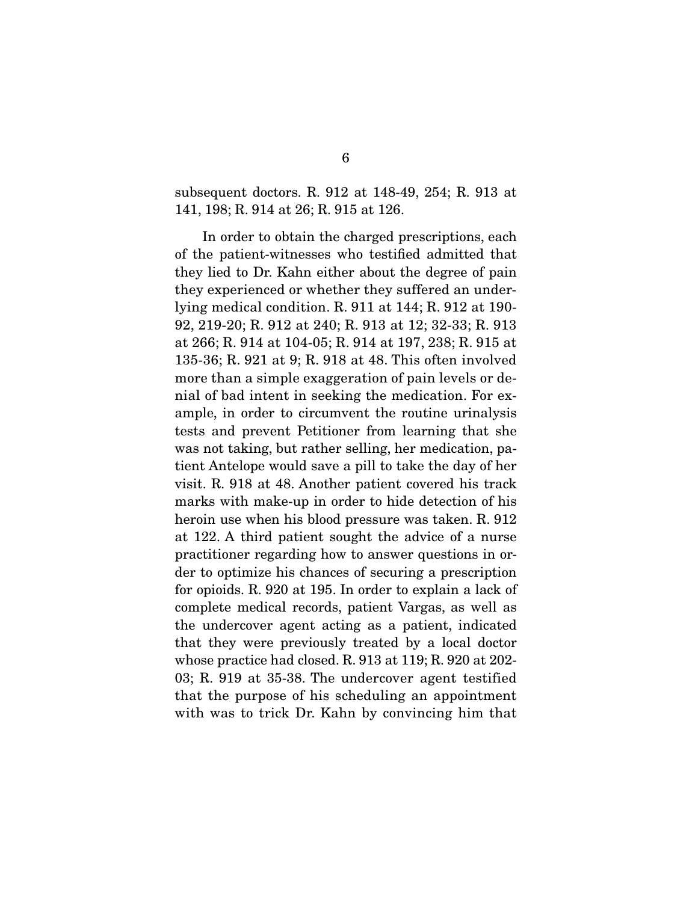subsequent doctors. R. 912 at 148-49, 254; R. 913 at 141, 198; R. 914 at 26; R. 915 at 126.

 In order to obtain the charged prescriptions, each of the patient-witnesses who testified admitted that they lied to Dr. Kahn either about the degree of pain they experienced or whether they suffered an underlying medical condition. R. 911 at 144; R. 912 at 190- 92, 219-20; R. 912 at 240; R. 913 at 12; 32-33; R. 913 at 266; R. 914 at 104-05; R. 914 at 197, 238; R. 915 at 135-36; R. 921 at 9; R. 918 at 48. This often involved more than a simple exaggeration of pain levels or denial of bad intent in seeking the medication. For example, in order to circumvent the routine urinalysis tests and prevent Petitioner from learning that she was not taking, but rather selling, her medication, patient Antelope would save a pill to take the day of her visit. R. 918 at 48. Another patient covered his track marks with make-up in order to hide detection of his heroin use when his blood pressure was taken. R. 912 at 122. A third patient sought the advice of a nurse practitioner regarding how to answer questions in order to optimize his chances of securing a prescription for opioids. R. 920 at 195. In order to explain a lack of complete medical records, patient Vargas, as well as the undercover agent acting as a patient, indicated that they were previously treated by a local doctor whose practice had closed. R. 913 at 119; R. 920 at 202- 03; R. 919 at 35-38. The undercover agent testified that the purpose of his scheduling an appointment with was to trick Dr. Kahn by convincing him that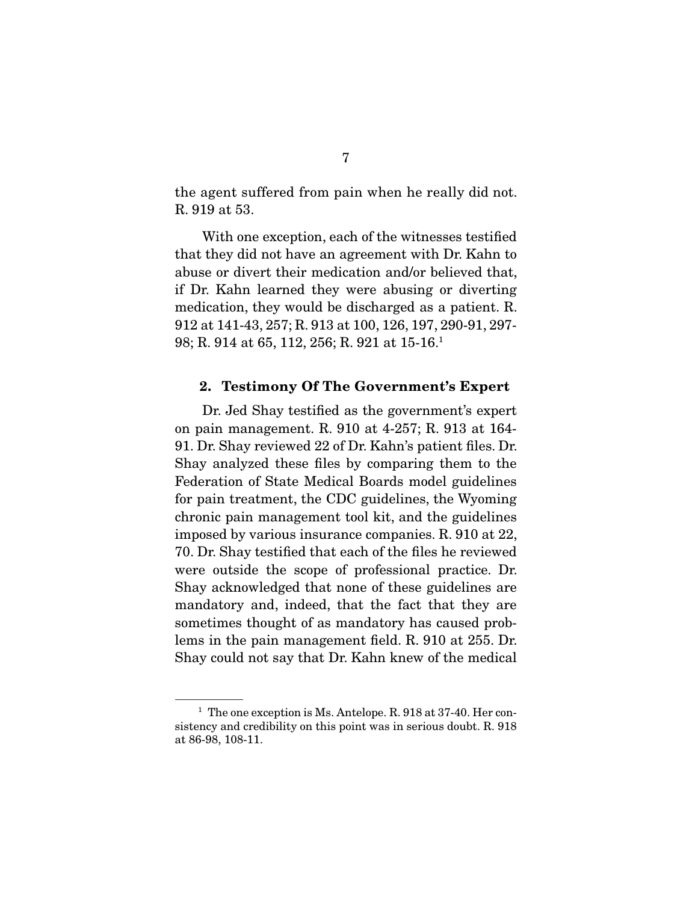the agent suffered from pain when he really did not. R. 919 at 53.

 With one exception, each of the witnesses testified that they did not have an agreement with Dr. Kahn to abuse or divert their medication and/or believed that, if Dr. Kahn learned they were abusing or diverting medication, they would be discharged as a patient. R. 912 at 141-43, 257; R. 913 at 100, 126, 197, 290-91, 297- 98; R. 914 at 65, 112, 256; R. 921 at 15-16.1

#### **2. Testimony Of The Government's Expert**

 Dr. Jed Shay testified as the government's expert on pain management. R. 910 at 4-257; R. 913 at 164- 91. Dr. Shay reviewed 22 of Dr. Kahn's patient files. Dr. Shay analyzed these files by comparing them to the Federation of State Medical Boards model guidelines for pain treatment, the CDC guidelines, the Wyoming chronic pain management tool kit, and the guidelines imposed by various insurance companies. R. 910 at 22, 70. Dr. Shay testified that each of the files he reviewed were outside the scope of professional practice. Dr. Shay acknowledged that none of these guidelines are mandatory and, indeed, that the fact that they are sometimes thought of as mandatory has caused problems in the pain management field. R. 910 at 255. Dr. Shay could not say that Dr. Kahn knew of the medical

 $1$  The one exception is Ms. Antelope. R. 918 at 37-40. Her consistency and credibility on this point was in serious doubt. R. 918 at 86-98, 108-11.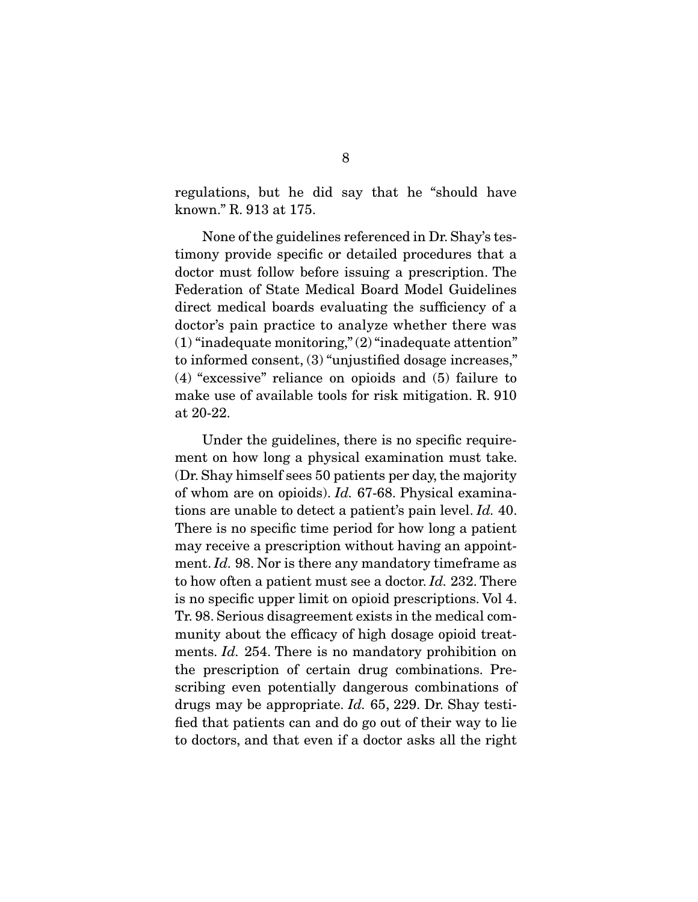regulations, but he did say that he "should have known." R. 913 at 175.

 None of the guidelines referenced in Dr. Shay's testimony provide specific or detailed procedures that a doctor must follow before issuing a prescription. The Federation of State Medical Board Model Guidelines direct medical boards evaluating the sufficiency of a doctor's pain practice to analyze whether there was (1) "inadequate monitoring," (2) "inadequate attention" to informed consent, (3) "unjustified dosage increases," (4) "excessive" reliance on opioids and (5) failure to make use of available tools for risk mitigation. R. 910 at 20-22.

 Under the guidelines, there is no specific requirement on how long a physical examination must take. (Dr. Shay himself sees 50 patients per day, the majority of whom are on opioids). Id. 67-68. Physical examinations are unable to detect a patient's pain level. Id. 40. There is no specific time period for how long a patient may receive a prescription without having an appointment. *Id.* 98. Nor is there any mandatory timeframe as to how often a patient must see a doctor. Id. 232. There is no specific upper limit on opioid prescriptions. Vol 4. Tr. 98. Serious disagreement exists in the medical community about the efficacy of high dosage opioid treatments. *Id.* 254. There is no mandatory prohibition on the prescription of certain drug combinations. Prescribing even potentially dangerous combinations of drugs may be appropriate. Id. 65, 229. Dr. Shay testified that patients can and do go out of their way to lie to doctors, and that even if a doctor asks all the right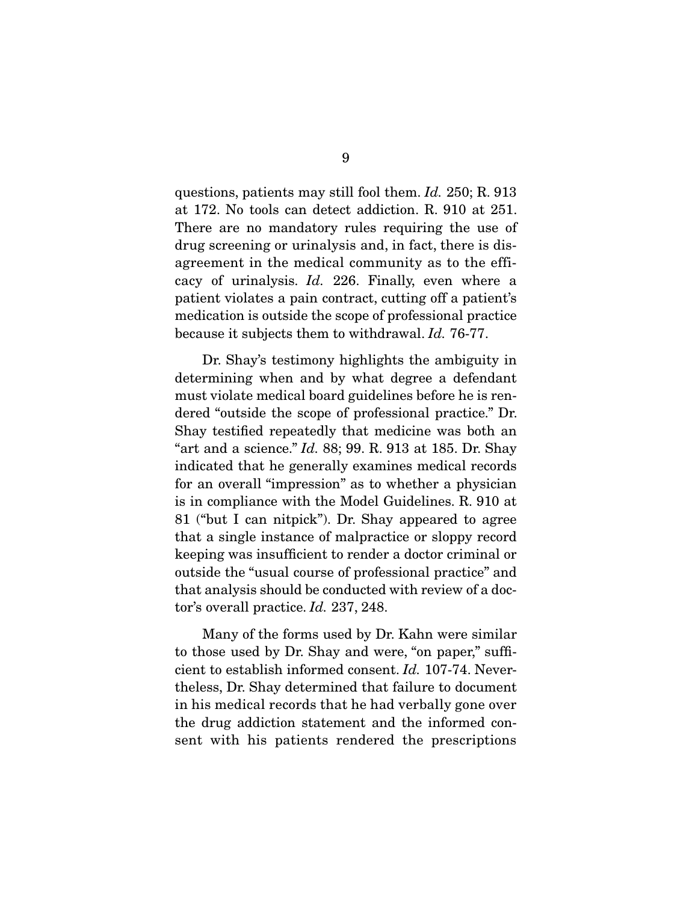questions, patients may still fool them. Id. 250; R. 913 at 172. No tools can detect addiction. R. 910 at 251. There are no mandatory rules requiring the use of drug screening or urinalysis and, in fact, there is disagreement in the medical community as to the efficacy of urinalysis. Id. 226. Finally, even where a patient violates a pain contract, cutting off a patient's medication is outside the scope of professional practice because it subjects them to withdrawal. Id. 76-77.

 Dr. Shay's testimony highlights the ambiguity in determining when and by what degree a defendant must violate medical board guidelines before he is rendered "outside the scope of professional practice." Dr. Shay testified repeatedly that medicine was both an "art and a science."  $Id. 88; 99. R. 913$  at 185. Dr. Shay indicated that he generally examines medical records for an overall "impression" as to whether a physician is in compliance with the Model Guidelines. R. 910 at 81 ("but I can nitpick"). Dr. Shay appeared to agree that a single instance of malpractice or sloppy record keeping was insufficient to render a doctor criminal or outside the "usual course of professional practice" and that analysis should be conducted with review of a doctor's overall practice. Id. 237, 248.

 Many of the forms used by Dr. Kahn were similar to those used by Dr. Shay and were, "on paper," sufficient to establish informed consent. Id. 107-74. Nevertheless, Dr. Shay determined that failure to document in his medical records that he had verbally gone over the drug addiction statement and the informed consent with his patients rendered the prescriptions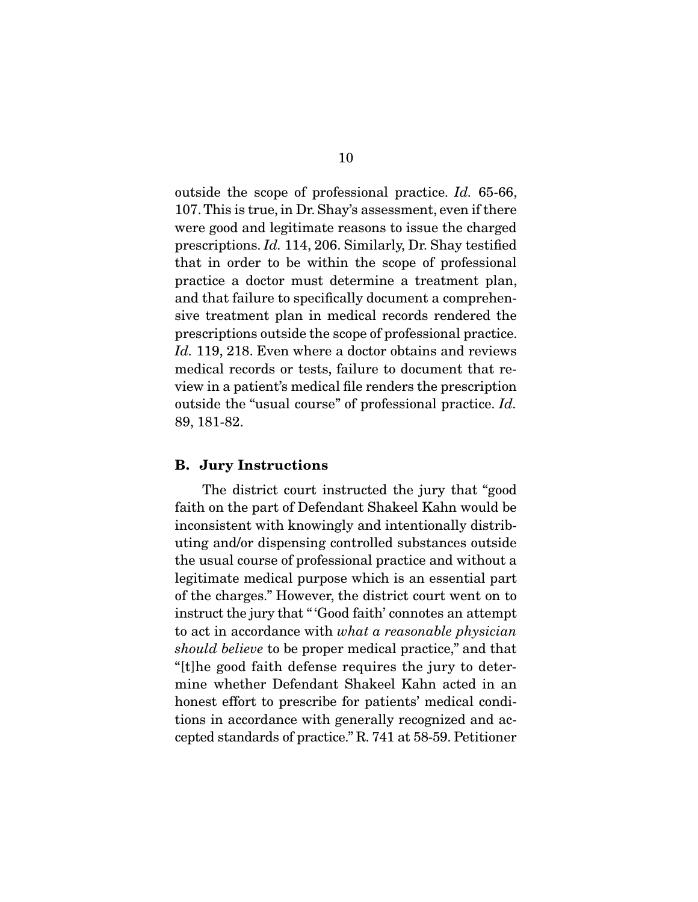outside the scope of professional practice. Id. 65-66, 107. This is true, in Dr. Shay's assessment, even if there were good and legitimate reasons to issue the charged prescriptions. Id. 114, 206. Similarly, Dr. Shay testified that in order to be within the scope of professional practice a doctor must determine a treatment plan, and that failure to specifically document a comprehensive treatment plan in medical records rendered the prescriptions outside the scope of professional practice. Id. 119, 218. Even where a doctor obtains and reviews medical records or tests, failure to document that review in a patient's medical file renders the prescription outside the "usual course" of professional practice. Id. 89, 181-82.

#### **B. Jury Instructions**

 The district court instructed the jury that "good faith on the part of Defendant Shakeel Kahn would be inconsistent with knowingly and intentionally distributing and/or dispensing controlled substances outside the usual course of professional practice and without a legitimate medical purpose which is an essential part of the charges." However, the district court went on to instruct the jury that " 'Good faith' connotes an attempt to act in accordance with what a reasonable physician should believe to be proper medical practice," and that "[t]he good faith defense requires the jury to determine whether Defendant Shakeel Kahn acted in an honest effort to prescribe for patients' medical conditions in accordance with generally recognized and accepted standards of practice." R. 741 at 58-59. Petitioner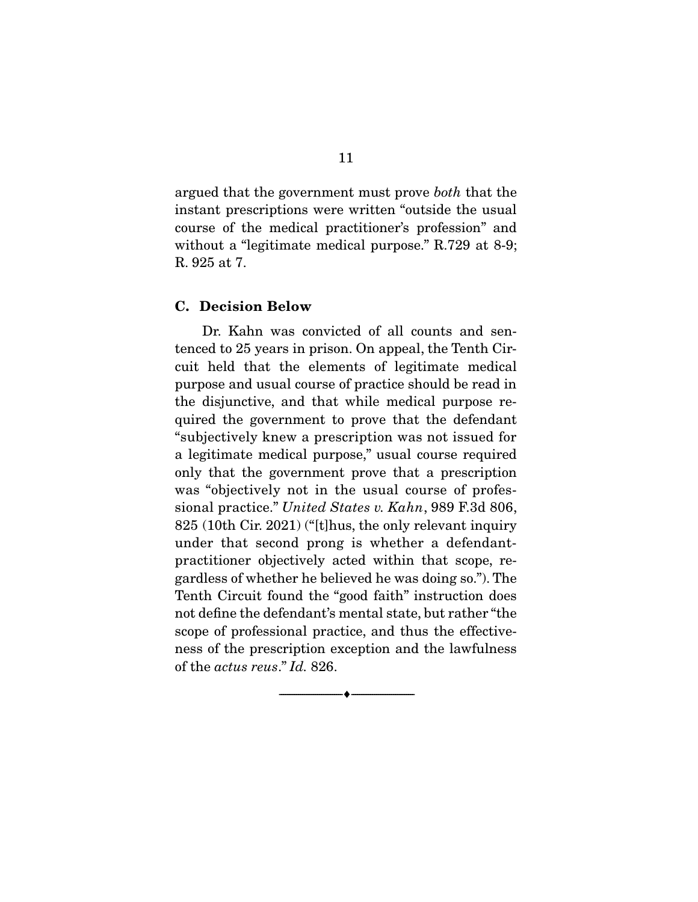argued that the government must prove both that the instant prescriptions were written "outside the usual course of the medical practitioner's profession" and without a "legitimate medical purpose." R.729 at 8-9; R. 925 at 7.

#### **C. Decision Below**

 Dr. Kahn was convicted of all counts and sentenced to 25 years in prison. On appeal, the Tenth Circuit held that the elements of legitimate medical purpose and usual course of practice should be read in the disjunctive, and that while medical purpose required the government to prove that the defendant "subjectively knew a prescription was not issued for a legitimate medical purpose," usual course required only that the government prove that a prescription was "objectively not in the usual course of professional practice." United States v. Kahn, 989 F.3d 806, 825 (10th Cir. 2021) ("[t]hus, the only relevant inquiry under that second prong is whether a defendantpractitioner objectively acted within that scope, regardless of whether he believed he was doing so."). The Tenth Circuit found the "good faith" instruction does not define the defendant's mental state, but rather "the scope of professional practice, and thus the effectiveness of the prescription exception and the lawfulness of the actus reus." Id. 826.

--------------------------------- ♦ ---------------------------------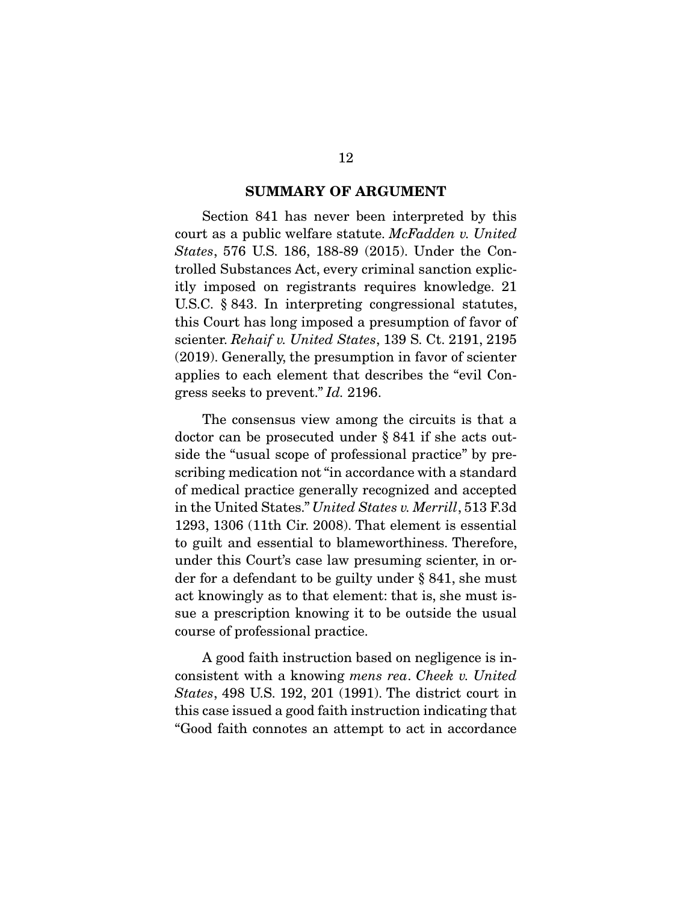#### **SUMMARY OF ARGUMENT**

Section 841 has never been interpreted by this court as a public welfare statute. McFadden v. United States, 576 U.S. 186, 188-89 (2015). Under the Controlled Substances Act, every criminal sanction explicitly imposed on registrants requires knowledge. 21 U.S.C. § 843. In interpreting congressional statutes, this Court has long imposed a presumption of favor of scienter. Rehaif v. United States, 139 S. Ct. 2191, 2195 (2019). Generally, the presumption in favor of scienter applies to each element that describes the "evil Congress seeks to prevent." Id. 2196.

 The consensus view among the circuits is that a doctor can be prosecuted under § 841 if she acts outside the "usual scope of professional practice" by prescribing medication not "in accordance with a standard of medical practice generally recognized and accepted in the United States." United States v. Merrill, 513 F.3d 1293, 1306 (11th Cir. 2008). That element is essential to guilt and essential to blameworthiness. Therefore, under this Court's case law presuming scienter, in order for a defendant to be guilty under § 841, she must act knowingly as to that element: that is, she must issue a prescription knowing it to be outside the usual course of professional practice.

 A good faith instruction based on negligence is inconsistent with a knowing mens rea. Cheek v. United States, 498 U.S. 192, 201 (1991). The district court in this case issued a good faith instruction indicating that "Good faith connotes an attempt to act in accordance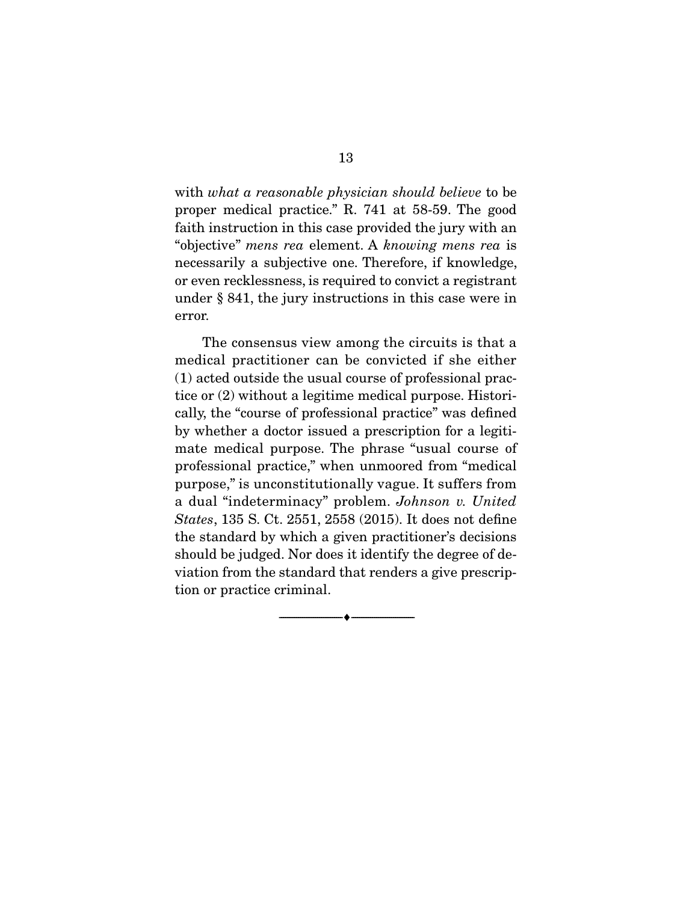with what a reasonable physician should believe to be proper medical practice." R. 741 at 58-59. The good faith instruction in this case provided the jury with an "objective" mens rea element. A knowing mens rea is necessarily a subjective one. Therefore, if knowledge, or even recklessness, is required to convict a registrant under § 841, the jury instructions in this case were in error.

 The consensus view among the circuits is that a medical practitioner can be convicted if she either (1) acted outside the usual course of professional practice or (2) without a legitime medical purpose. Historically, the "course of professional practice" was defined by whether a doctor issued a prescription for a legitimate medical purpose. The phrase "usual course of professional practice," when unmoored from "medical purpose," is unconstitutionally vague. It suffers from a dual "indeterminacy" problem. Johnson v. United States, 135 S. Ct. 2551, 2558 (2015). It does not define the standard by which a given practitioner's decisions should be judged. Nor does it identify the degree of deviation from the standard that renders a give prescription or practice criminal.

--------------------------------- ♦ ---------------------------------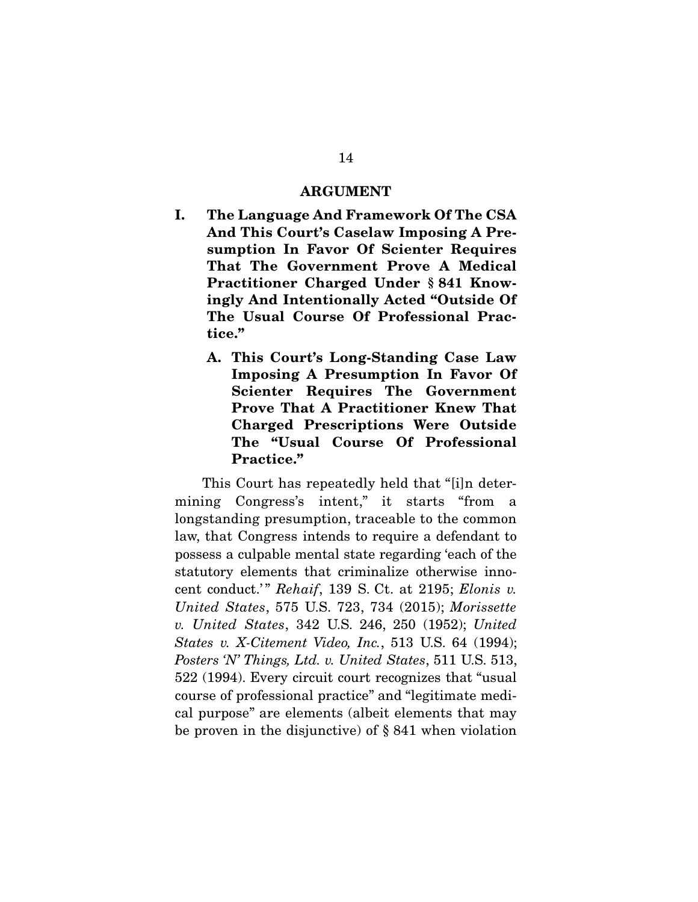#### **ARGUMENT**

- **I. The Language And Framework Of The CSA And This Court's Caselaw Imposing A Presumption In Favor Of Scienter Requires That The Government Prove A Medical Practitioner Charged Under § 841 Knowingly And Intentionally Acted "Outside Of The Usual Course Of Professional Practice."** 
	- **A. This Court's Long-Standing Case Law Imposing A Presumption In Favor Of Scienter Requires The Government Prove That A Practitioner Knew That Charged Prescriptions Were Outside The "Usual Course Of Professional Practice."**

This Court has repeatedly held that "[i]n determining Congress's intent," it starts "from a longstanding presumption, traceable to the common law, that Congress intends to require a defendant to possess a culpable mental state regarding 'each of the statutory elements that criminalize otherwise innocent conduct.'" Rehaif, 139 S. Ct. at 2195; Elonis v. United States, 575 U.S. 723, 734 (2015); Morissette v. United States, 342 U.S. 246, 250 (1952); United States v. X-Citement Video, Inc., 513 U.S. 64 (1994); Posters 'N' Things, Ltd. v. United States, 511 U.S. 513, 522 (1994). Every circuit court recognizes that "usual course of professional practice" and "legitimate medical purpose" are elements (albeit elements that may be proven in the disjunctive) of § 841 when violation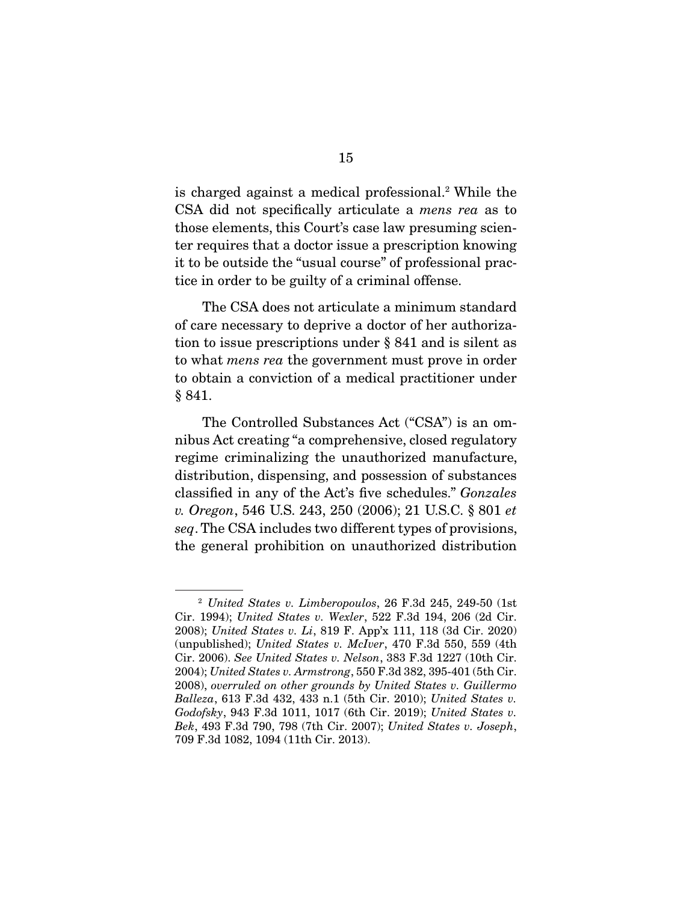is charged against a medical professional.<sup>2</sup> While the CSA did not specifically articulate a mens rea as to those elements, this Court's case law presuming scienter requires that a doctor issue a prescription knowing it to be outside the "usual course" of professional practice in order to be guilty of a criminal offense.

 The CSA does not articulate a minimum standard of care necessary to deprive a doctor of her authorization to issue prescriptions under § 841 and is silent as to what mens rea the government must prove in order to obtain a conviction of a medical practitioner under § 841.

 The Controlled Substances Act ("CSA") is an omnibus Act creating "a comprehensive, closed regulatory regime criminalizing the unauthorized manufacture, distribution, dispensing, and possession of substances classified in any of the Act's five schedules." Gonzales v. Oregon, 546 U.S. 243, 250 (2006); 21 U.S.C. § 801 et seq. The CSA includes two different types of provisions, the general prohibition on unauthorized distribution

 $2$  United States v. Limberopoulos, 26 F.3d 245, 249-50 (1st Cir. 1994); United States v. Wexler, 522 F.3d 194, 206 (2d Cir. 2008); United States v. Li, 819 F. App'x 111, 118 (3d Cir. 2020) (unpublished); United States v. McIver, 470 F.3d 550, 559 (4th Cir. 2006). See United States v. Nelson, 383 F.3d 1227 (10th Cir. 2004); United States v. Armstrong, 550 F.3d 382, 395-401 (5th Cir. 2008), overruled on other grounds by United States v. Guillermo Balleza, 613 F.3d 432, 433 n.1 (5th Cir. 2010); United States v. Godofsky, 943 F.3d 1011, 1017 (6th Cir. 2019); United States v. Bek, 493 F.3d 790, 798 (7th Cir. 2007); United States v. Joseph, 709 F.3d 1082, 1094 (11th Cir. 2013).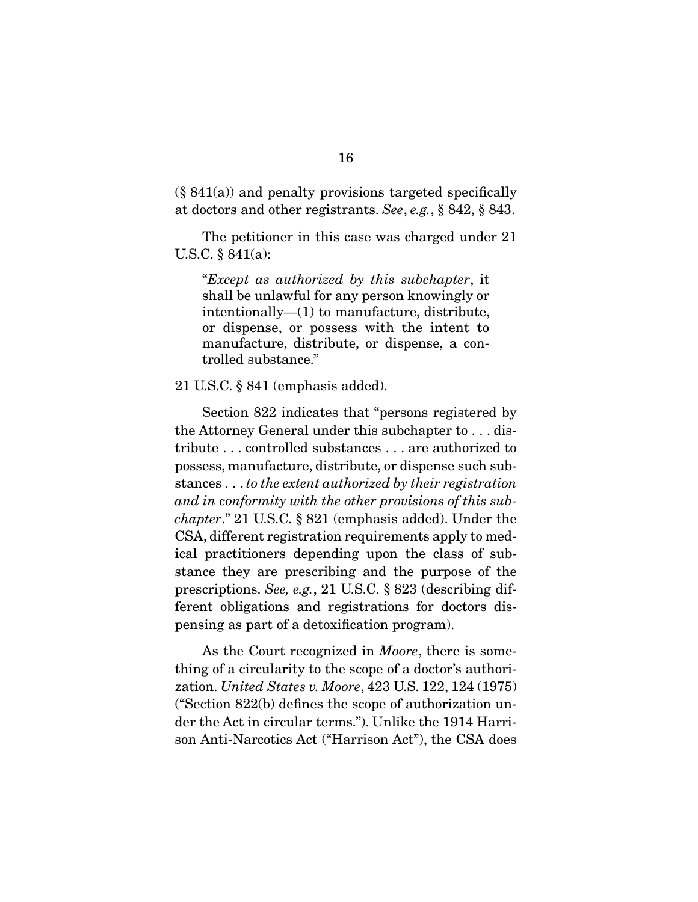$(\S 841(a))$  and penalty provisions targeted specifically at doctors and other registrants. See, e.g., § 842, § 843.

 The petitioner in this case was charged under 21 U.S.C. § 841(a):

"Except as authorized by this subchapter, it shall be unlawful for any person knowingly or intentionally—(1) to manufacture, distribute, or dispense, or possess with the intent to manufacture, distribute, or dispense, a controlled substance."

#### 21 U.S.C. § 841 (emphasis added).

 Section 822 indicates that "persons registered by the Attorney General under this subchapter to . . . distribute . . . controlled substances . . . are authorized to possess, manufacture, distribute, or dispense such substances . . . to the extent authorized by their registration and in conformity with the other provisions of this subchapter." 21 U.S.C. § 821 (emphasis added). Under the CSA, different registration requirements apply to medical practitioners depending upon the class of substance they are prescribing and the purpose of the prescriptions. See, e.g., 21 U.S.C. § 823 (describing different obligations and registrations for doctors dispensing as part of a detoxification program).

As the Court recognized in *Moore*, there is something of a circularity to the scope of a doctor's authorization. United States v. Moore, 423 U.S. 122, 124 (1975) ("Section 822(b) defines the scope of authorization under the Act in circular terms."). Unlike the 1914 Harrison Anti-Narcotics Act ("Harrison Act"), the CSA does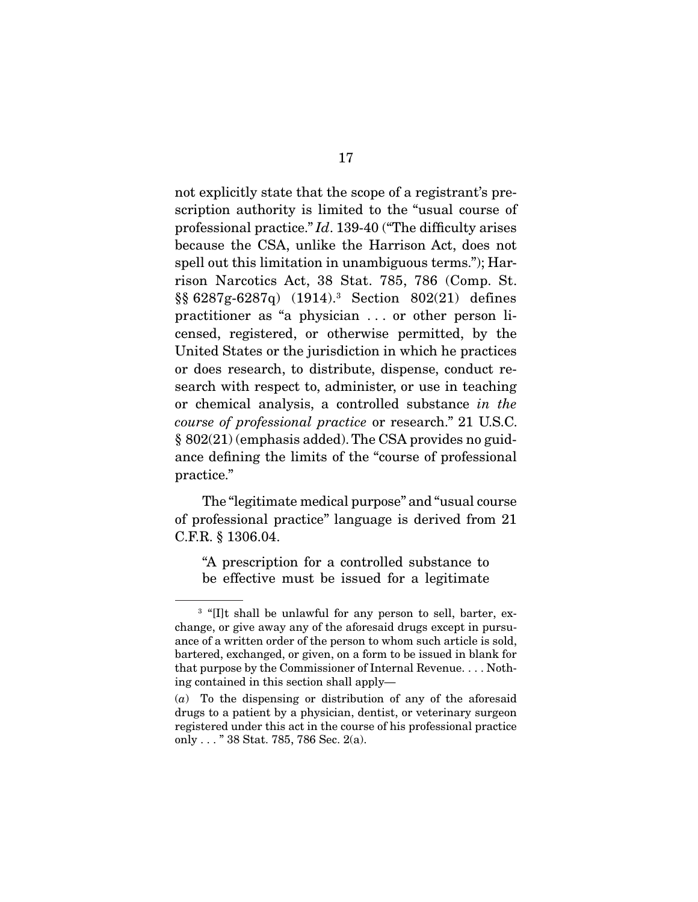not explicitly state that the scope of a registrant's prescription authority is limited to the "usual course of professional practice." Id. 139-40 ("The difficulty arises because the CSA, unlike the Harrison Act, does not spell out this limitation in unambiguous terms."); Harrison Narcotics Act, 38 Stat. 785, 786 (Comp. St. §§ 6287g-6287q) (1914).3 Section 802(21) defines practitioner as "a physician . . . or other person licensed, registered, or otherwise permitted, by the United States or the jurisdiction in which he practices or does research, to distribute, dispense, conduct research with respect to, administer, or use in teaching or chemical analysis, a controlled substance in the course of professional practice or research." 21 U.S.C. § 802(21) (emphasis added). The CSA provides no guidance defining the limits of the "course of professional practice."

 The "legitimate medical purpose" and "usual course of professional practice" language is derived from 21 C.F.R. § 1306.04.

"A prescription for a controlled substance to be effective must be issued for a legitimate

<sup>&</sup>lt;sup>3</sup> "[I]t shall be unlawful for any person to sell, barter, exchange, or give away any of the aforesaid drugs except in pursuance of a written order of the person to whom such article is sold, bartered, exchanged, or given, on a form to be issued in blank for that purpose by the Commissioner of Internal Revenue. . . . Nothing contained in this section shall apply—

 $(a)$  To the dispensing or distribution of any of the aforesaid drugs to a patient by a physician, dentist, or veterinary surgeon registered under this act in the course of his professional practice only . . . " 38 Stat. 785, 786 Sec. 2(a).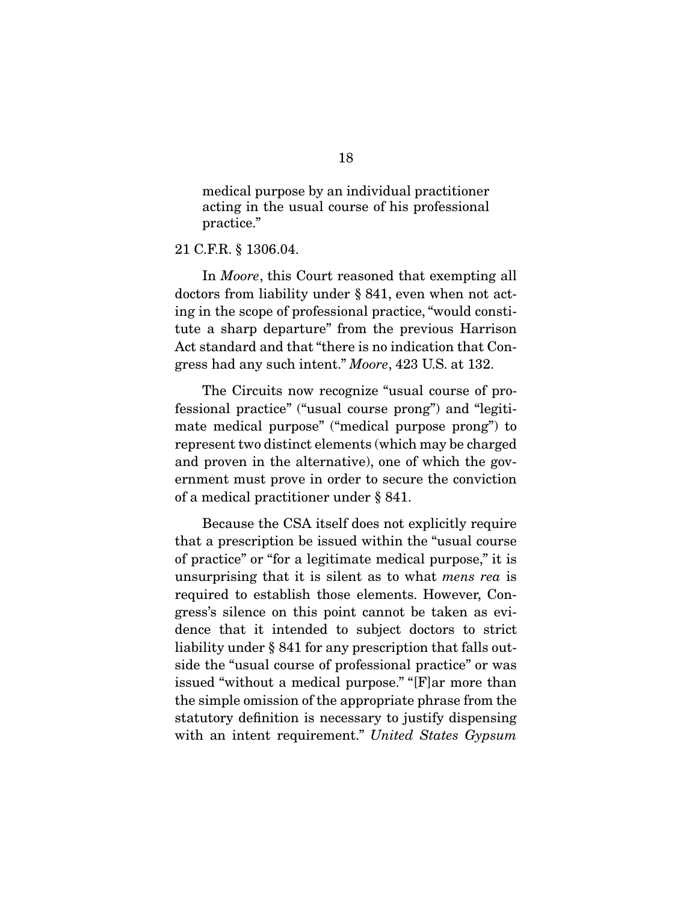medical purpose by an individual practitioner acting in the usual course of his professional practice."

21 C.F.R. § 1306.04.

 In Moore, this Court reasoned that exempting all doctors from liability under § 841, even when not acting in the scope of professional practice, "would constitute a sharp departure" from the previous Harrison Act standard and that "there is no indication that Congress had any such intent." Moore, 423 U.S. at 132.

 The Circuits now recognize "usual course of professional practice" ("usual course prong") and "legitimate medical purpose" ("medical purpose prong") to represent two distinct elements (which may be charged and proven in the alternative), one of which the government must prove in order to secure the conviction of a medical practitioner under § 841.

 Because the CSA itself does not explicitly require that a prescription be issued within the "usual course of practice" or "for a legitimate medical purpose," it is unsurprising that it is silent as to what mens rea is required to establish those elements. However, Congress's silence on this point cannot be taken as evidence that it intended to subject doctors to strict liability under § 841 for any prescription that falls outside the "usual course of professional practice" or was issued "without a medical purpose." "[F]ar more than the simple omission of the appropriate phrase from the statutory definition is necessary to justify dispensing with an intent requirement." United States Gypsum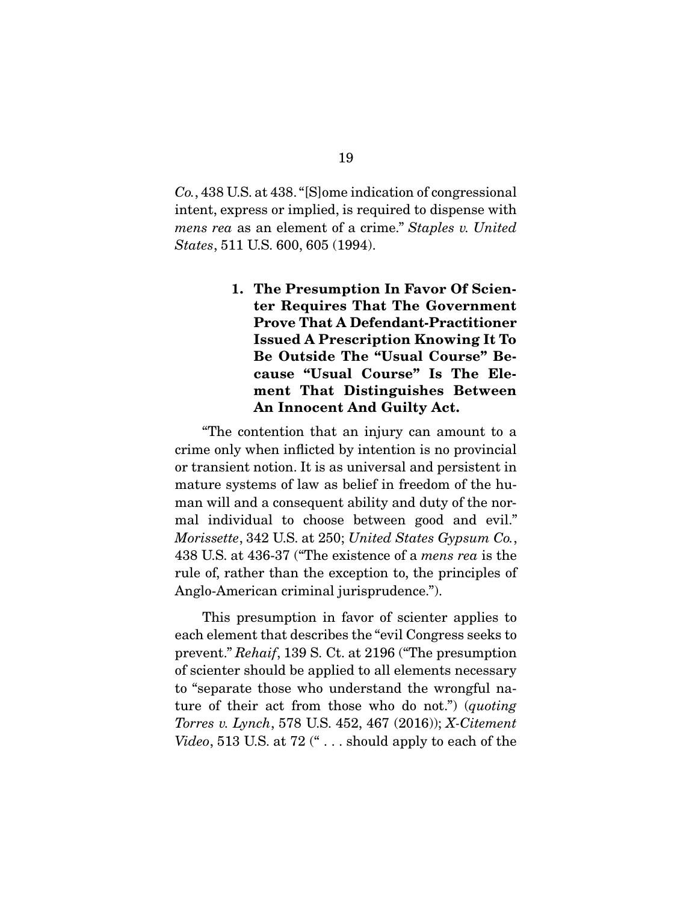Co., 438 U.S. at 438. "[S]ome indication of congressional intent, express or implied, is required to dispense with mens rea as an element of a crime." Staples v. United States, 511 U.S. 600, 605 (1994).

> **1. The Presumption In Favor Of Scienter Requires That The Government Prove That A Defendant-Practitioner Issued A Prescription Knowing It To Be Outside The "Usual Course" Because "Usual Course" Is The Element That Distinguishes Between An Innocent And Guilty Act.**

 "The contention that an injury can amount to a crime only when inflicted by intention is no provincial or transient notion. It is as universal and persistent in mature systems of law as belief in freedom of the human will and a consequent ability and duty of the normal individual to choose between good and evil." Morissette, 342 U.S. at 250; United States Gypsum Co., 438 U.S. at 436-37 ("The existence of a mens rea is the rule of, rather than the exception to, the principles of Anglo-American criminal jurisprudence.").

 This presumption in favor of scienter applies to each element that describes the "evil Congress seeks to prevent." Rehaif, 139 S. Ct. at 2196 ("The presumption of scienter should be applied to all elements necessary to "separate those who understand the wrongful nature of their act from those who do not.") (quoting Torres v. Lynch, 578 U.S. 452, 467 (2016)); X-Citement Video, 513 U.S. at 72  $($ "  $\ldots$  should apply to each of the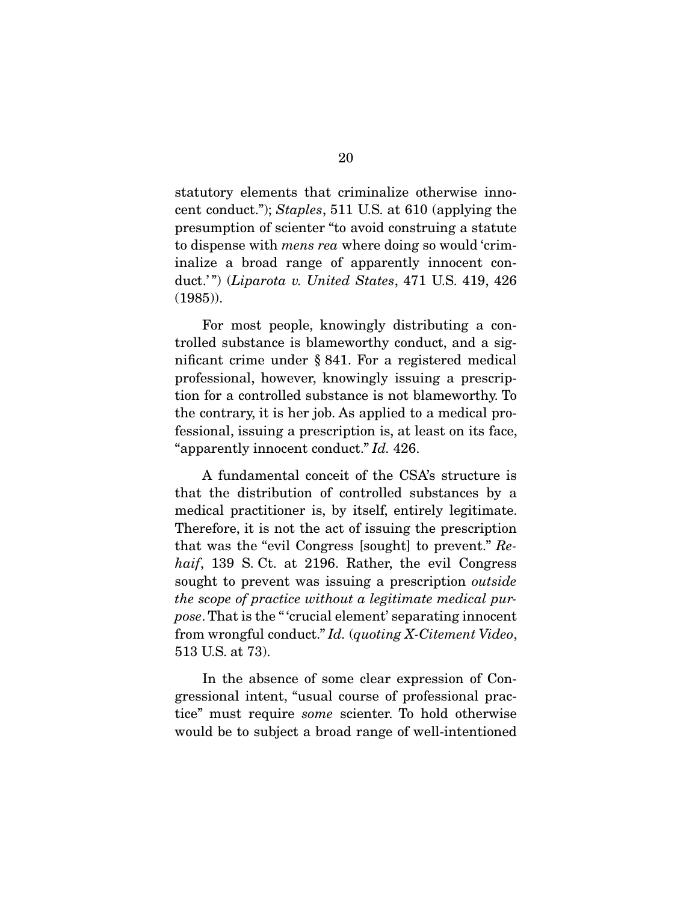statutory elements that criminalize otherwise innocent conduct."); Staples, 511 U.S. at 610 (applying the presumption of scienter "to avoid construing a statute to dispense with mens rea where doing so would 'criminalize a broad range of apparently innocent conduct.'") (Liparota v. United States, 471 U.S. 419, 426 (1985)).

For most people, knowingly distributing a controlled substance is blameworthy conduct, and a significant crime under § 841. For a registered medical professional, however, knowingly issuing a prescription for a controlled substance is not blameworthy. To the contrary, it is her job. As applied to a medical professional, issuing a prescription is, at least on its face, "apparently innocent conduct." Id. 426.

 A fundamental conceit of the CSA's structure is that the distribution of controlled substances by a medical practitioner is, by itself, entirely legitimate. Therefore, it is not the act of issuing the prescription that was the "evil Congress [sought] to prevent." Rehaif, 139 S. Ct. at 2196. Rather, the evil Congress sought to prevent was issuing a prescription *outside* the scope of practice without a legitimate medical purpose. That is the " 'crucial element' separating innocent from wrongful conduct." Id. (quoting X-Citement Video, 513 U.S. at 73).

 In the absence of some clear expression of Congressional intent, "usual course of professional practice" must require some scienter. To hold otherwise would be to subject a broad range of well-intentioned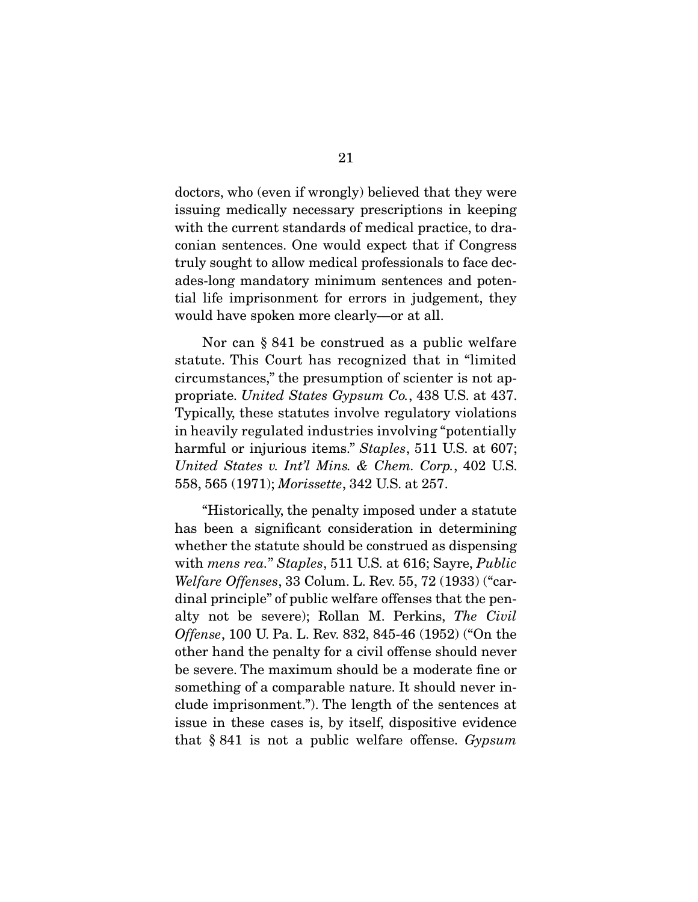doctors, who (even if wrongly) believed that they were issuing medically necessary prescriptions in keeping with the current standards of medical practice, to draconian sentences. One would expect that if Congress truly sought to allow medical professionals to face decades-long mandatory minimum sentences and potential life imprisonment for errors in judgement, they would have spoken more clearly—or at all.

 Nor can § 841 be construed as a public welfare statute. This Court has recognized that in "limited circumstances," the presumption of scienter is not appropriate. United States Gypsum Co., 438 U.S. at 437. Typically, these statutes involve regulatory violations in heavily regulated industries involving "potentially harmful or injurious items." Staples, 511 U.S. at 607; United States v. Int'l Mins. & Chem. Corp., 402 U.S. 558, 565 (1971); Morissette, 342 U.S. at 257.

 "Historically, the penalty imposed under a statute has been a significant consideration in determining whether the statute should be construed as dispensing with mens rea." Staples, 511 U.S. at 616; Sayre, Public Welfare Offenses, 33 Colum. L. Rev. 55, 72 (1933) ("cardinal principle" of public welfare offenses that the penalty not be severe); Rollan M. Perkins, The Civil Offense, 100 U. Pa. L. Rev. 832, 845-46 (1952) ("On the other hand the penalty for a civil offense should never be severe. The maximum should be a moderate fine or something of a comparable nature. It should never include imprisonment."). The length of the sentences at issue in these cases is, by itself, dispositive evidence that  $§ 841$  is not a public welfare offense. Gypsum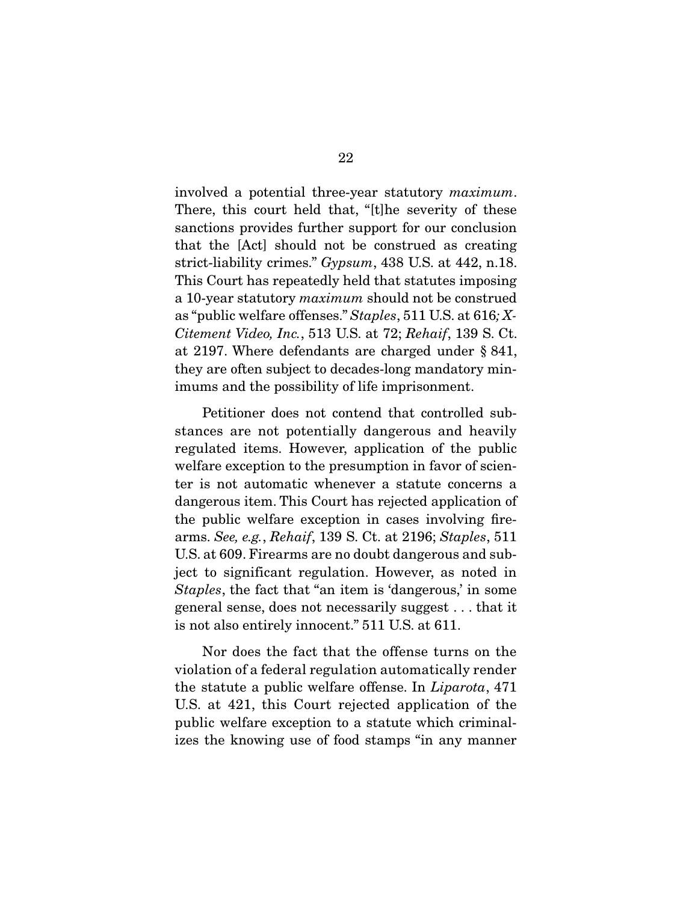involved a potential three-year statutory maximum. There, this court held that, "[t]he severity of these sanctions provides further support for our conclusion that the [Act] should not be construed as creating strict-liability crimes." Gypsum, 438 U.S. at 442, n.18. This Court has repeatedly held that statutes imposing a 10-year statutory maximum should not be construed as "public welfare offenses." Staples, 511 U.S. at 616; X-Citement Video, Inc., 513 U.S. at 72; Rehaif, 139 S. Ct. at 2197. Where defendants are charged under § 841, they are often subject to decades-long mandatory minimums and the possibility of life imprisonment.

 Petitioner does not contend that controlled substances are not potentially dangerous and heavily regulated items. However, application of the public welfare exception to the presumption in favor of scienter is not automatic whenever a statute concerns a dangerous item. This Court has rejected application of the public welfare exception in cases involving firearms. See, e.g., Rehaif, 139 S. Ct. at 2196; Staples, 511 U.S. at 609. Firearms are no doubt dangerous and subject to significant regulation. However, as noted in Staples, the fact that "an item is 'dangerous,' in some general sense, does not necessarily suggest . . . that it is not also entirely innocent." 511 U.S. at 611.

 Nor does the fact that the offense turns on the violation of a federal regulation automatically render the statute a public welfare offense. In Liparota, 471 U.S. at 421, this Court rejected application of the public welfare exception to a statute which criminalizes the knowing use of food stamps "in any manner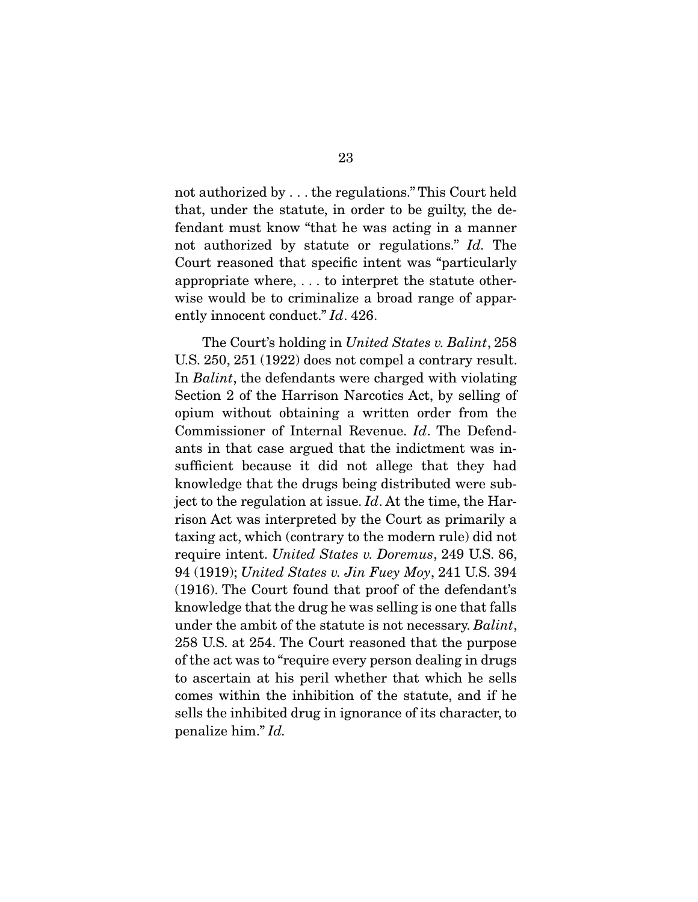not authorized by . . . the regulations." This Court held that, under the statute, in order to be guilty, the defendant must know "that he was acting in a manner not authorized by statute or regulations." Id. The Court reasoned that specific intent was "particularly appropriate where, . . . to interpret the statute otherwise would be to criminalize a broad range of apparently innocent conduct." Id. 426.

The Court's holding in United States v. Balint, 258 U.S. 250, 251 (1922) does not compel a contrary result. In *Balint*, the defendants were charged with violating Section 2 of the Harrison Narcotics Act, by selling of opium without obtaining a written order from the Commissioner of Internal Revenue. Id. The Defendants in that case argued that the indictment was insufficient because it did not allege that they had knowledge that the drugs being distributed were subject to the regulation at issue.  $Id$ . At the time, the Harrison Act was interpreted by the Court as primarily a taxing act, which (contrary to the modern rule) did not require intent. United States v. Doremus, 249 U.S. 86, 94 (1919); United States v. Jin Fuey Moy, 241 U.S. 394 (1916). The Court found that proof of the defendant's knowledge that the drug he was selling is one that falls under the ambit of the statute is not necessary. Balint, 258 U.S. at 254. The Court reasoned that the purpose of the act was to "require every person dealing in drugs to ascertain at his peril whether that which he sells comes within the inhibition of the statute, and if he sells the inhibited drug in ignorance of its character, to penalize him." Id.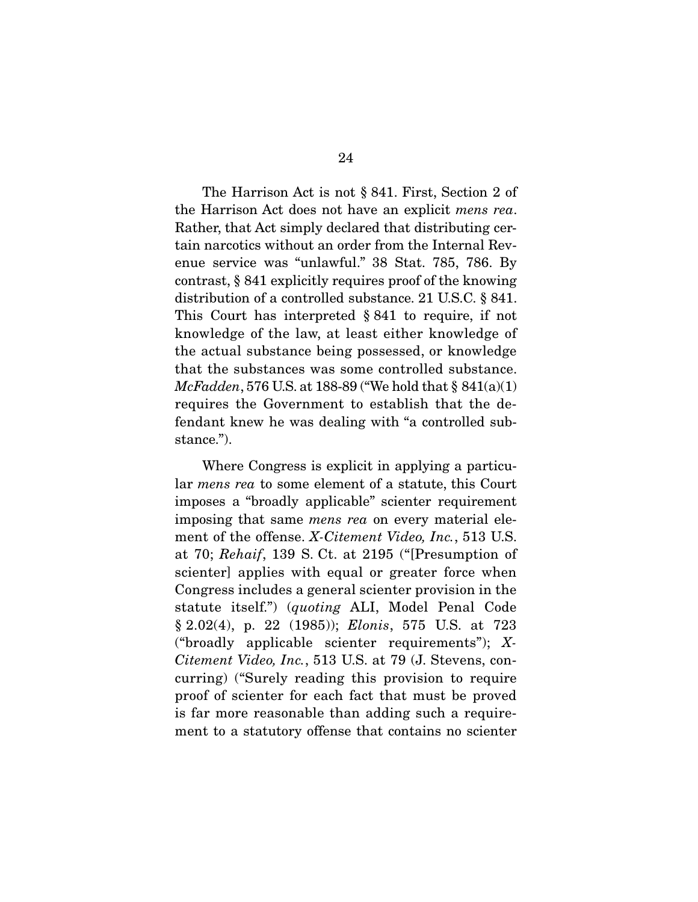The Harrison Act is not § 841. First, Section 2 of the Harrison Act does not have an explicit mens rea. Rather, that Act simply declared that distributing certain narcotics without an order from the Internal Revenue service was "unlawful." 38 Stat. 785, 786. By contrast, § 841 explicitly requires proof of the knowing distribution of a controlled substance. 21 U.S.C. § 841. This Court has interpreted § 841 to require, if not knowledge of the law, at least either knowledge of the actual substance being possessed, or knowledge that the substances was some controlled substance. McFadden, 576 U.S. at 188-89 ("We hold that  $\S 841(a)(1)$ requires the Government to establish that the defendant knew he was dealing with "a controlled substance.").

 Where Congress is explicit in applying a particular mens rea to some element of a statute, this Court imposes a "broadly applicable" scienter requirement imposing that same mens rea on every material element of the offense. *X-Citement Video, Inc.*, 513 U.S. at 70; Rehaif, 139 S. Ct. at 2195 ("[Presumption of scienter] applies with equal or greater force when Congress includes a general scienter provision in the statute itself.") (quoting ALI, Model Penal Code § 2.02(4), p. 22 (1985)); Elonis, 575 U.S. at 723 ("broadly applicable scienter requirements"); X-Citement Video, Inc., 513 U.S. at 79 (J. Stevens, concurring) ("Surely reading this provision to require proof of scienter for each fact that must be proved is far more reasonable than adding such a requirement to a statutory offense that contains no scienter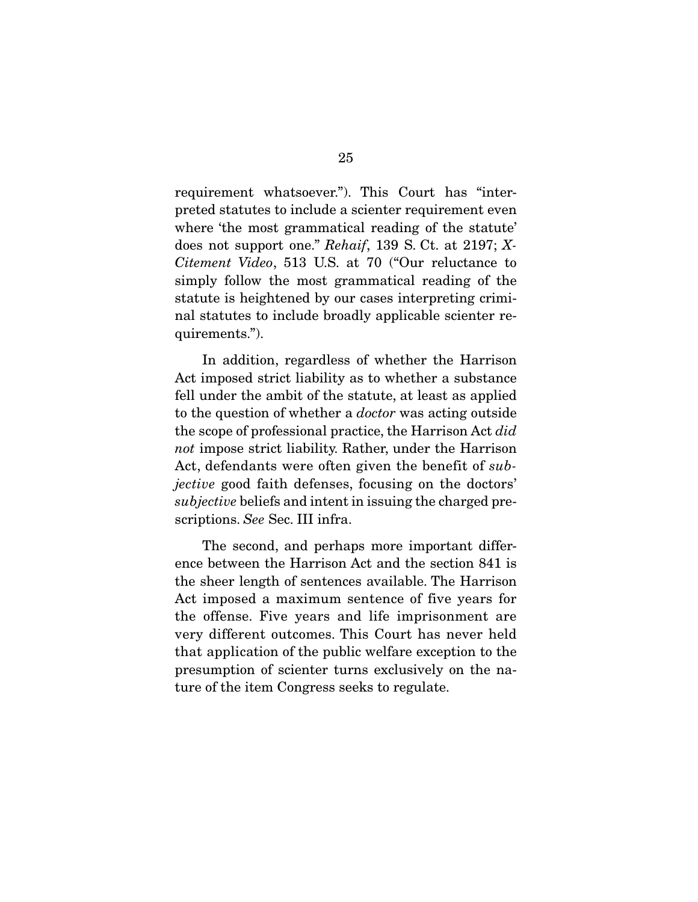requirement whatsoever."). This Court has "interpreted statutes to include a scienter requirement even where 'the most grammatical reading of the statute' does not support one." Rehaif, 139 S. Ct. at 2197; X-Citement Video, 513 U.S. at 70 ("Our reluctance to simply follow the most grammatical reading of the statute is heightened by our cases interpreting criminal statutes to include broadly applicable scienter requirements.").

 In addition, regardless of whether the Harrison Act imposed strict liability as to whether a substance fell under the ambit of the statute, at least as applied to the question of whether a doctor was acting outside the scope of professional practice, the Harrison Act did not impose strict liability. Rather, under the Harrison Act, defendants were often given the benefit of subjective good faith defenses, focusing on the doctors' subjective beliefs and intent in issuing the charged prescriptions. See Sec. III infra.

 The second, and perhaps more important difference between the Harrison Act and the section 841 is the sheer length of sentences available. The Harrison Act imposed a maximum sentence of five years for the offense. Five years and life imprisonment are very different outcomes. This Court has never held that application of the public welfare exception to the presumption of scienter turns exclusively on the nature of the item Congress seeks to regulate.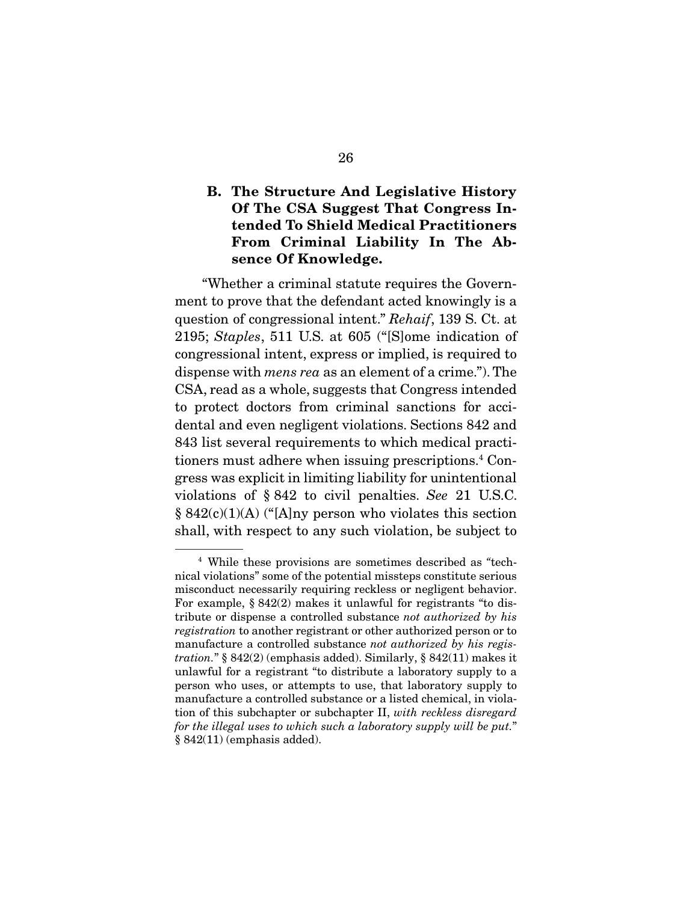### **B. The Structure And Legislative History Of The CSA Suggest That Congress Intended To Shield Medical Practitioners From Criminal Liability In The Absence Of Knowledge.**

 "Whether a criminal statute requires the Government to prove that the defendant acted knowingly is a question of congressional intent." Rehaif, 139 S. Ct. at 2195; Staples, 511 U.S. at 605 ("[S]ome indication of congressional intent, express or implied, is required to dispense with mens rea as an element of a crime."). The CSA, read as a whole, suggests that Congress intended to protect doctors from criminal sanctions for accidental and even negligent violations. Sections 842 and 843 list several requirements to which medical practitioners must adhere when issuing prescriptions.4 Congress was explicit in limiting liability for unintentional violations of § 842 to civil penalties. See 21 U.S.C. § 842(c)(1)(A) ("[A]ny person who violates this section shall, with respect to any such violation, be subject to

<sup>4</sup> While these provisions are sometimes described as "technical violations" some of the potential missteps constitute serious misconduct necessarily requiring reckless or negligent behavior. For example, § 842(2) makes it unlawful for registrants "to distribute or dispense a controlled substance not authorized by his registration to another registrant or other authorized person or to manufacture a controlled substance not authorized by his registration." § 842(2) (emphasis added). Similarly, § 842(11) makes it unlawful for a registrant "to distribute a laboratory supply to a person who uses, or attempts to use, that laboratory supply to manufacture a controlled substance or a listed chemical, in violation of this subchapter or subchapter II, with reckless disregard for the illegal uses to which such a laboratory supply will be put." § 842(11) (emphasis added).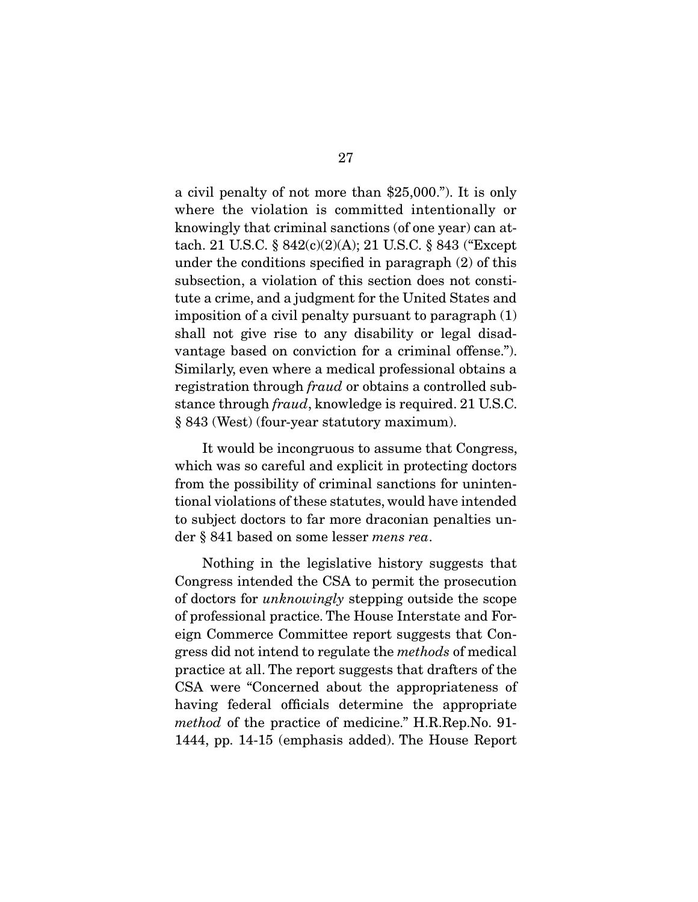a civil penalty of not more than \$25,000."). It is only where the violation is committed intentionally or knowingly that criminal sanctions (of one year) can attach. 21 U.S.C. § 842(c)(2)(A); 21 U.S.C. § 843 ("Except under the conditions specified in paragraph (2) of this subsection, a violation of this section does not constitute a crime, and a judgment for the United States and imposition of a civil penalty pursuant to paragraph (1) shall not give rise to any disability or legal disadvantage based on conviction for a criminal offense."). Similarly, even where a medical professional obtains a registration through fraud or obtains a controlled substance through fraud, knowledge is required. 21 U.S.C. § 843 (West) (four-year statutory maximum).

 It would be incongruous to assume that Congress, which was so careful and explicit in protecting doctors from the possibility of criminal sanctions for unintentional violations of these statutes, would have intended to subject doctors to far more draconian penalties under § 841 based on some lesser mens rea.

 Nothing in the legislative history suggests that Congress intended the CSA to permit the prosecution of doctors for unknowingly stepping outside the scope of professional practice. The House Interstate and Foreign Commerce Committee report suggests that Congress did not intend to regulate the methods of medical practice at all. The report suggests that drafters of the CSA were "Concerned about the appropriateness of having federal officials determine the appropriate method of the practice of medicine." H.R.Rep.No. 91- 1444, pp. 14-15 (emphasis added). The House Report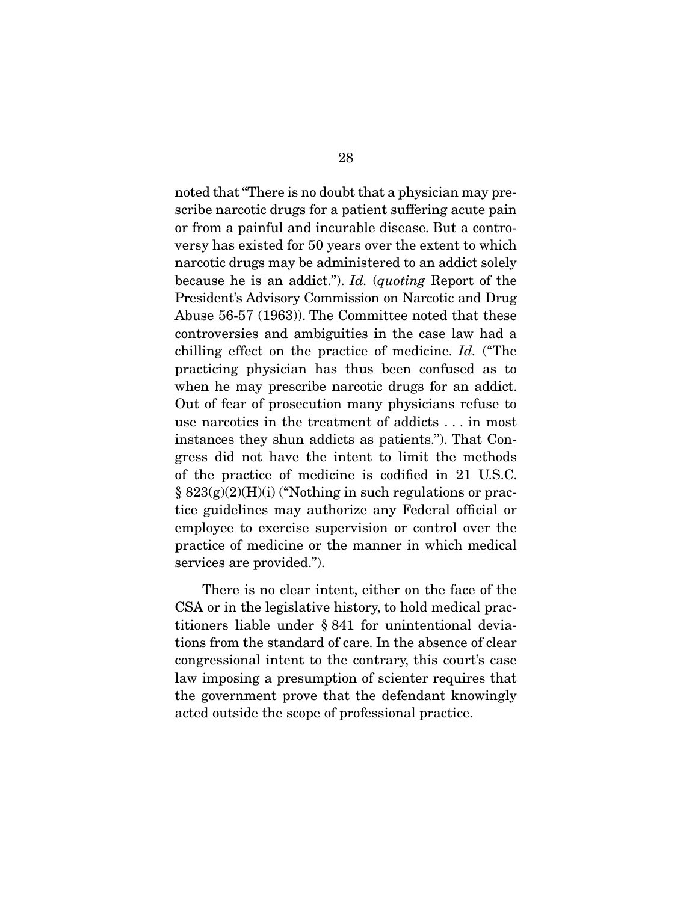noted that "There is no doubt that a physician may prescribe narcotic drugs for a patient suffering acute pain or from a painful and incurable disease. But a controversy has existed for 50 years over the extent to which narcotic drugs may be administered to an addict solely because he is an addict."). Id. (quoting Report of the President's Advisory Commission on Narcotic and Drug Abuse 56-57 (1963)). The Committee noted that these controversies and ambiguities in the case law had a chilling effect on the practice of medicine. Id. ("The practicing physician has thus been confused as to when he may prescribe narcotic drugs for an addict. Out of fear of prosecution many physicians refuse to use narcotics in the treatment of addicts . . . in most instances they shun addicts as patients."). That Congress did not have the intent to limit the methods of the practice of medicine is codified in 21 U.S.C.  $\S 823(g)(2)(H)(i)$  ("Nothing in such regulations or practice guidelines may authorize any Federal official or employee to exercise supervision or control over the practice of medicine or the manner in which medical services are provided.").

 There is no clear intent, either on the face of the CSA or in the legislative history, to hold medical practitioners liable under § 841 for unintentional deviations from the standard of care. In the absence of clear congressional intent to the contrary, this court's case law imposing a presumption of scienter requires that the government prove that the defendant knowingly acted outside the scope of professional practice.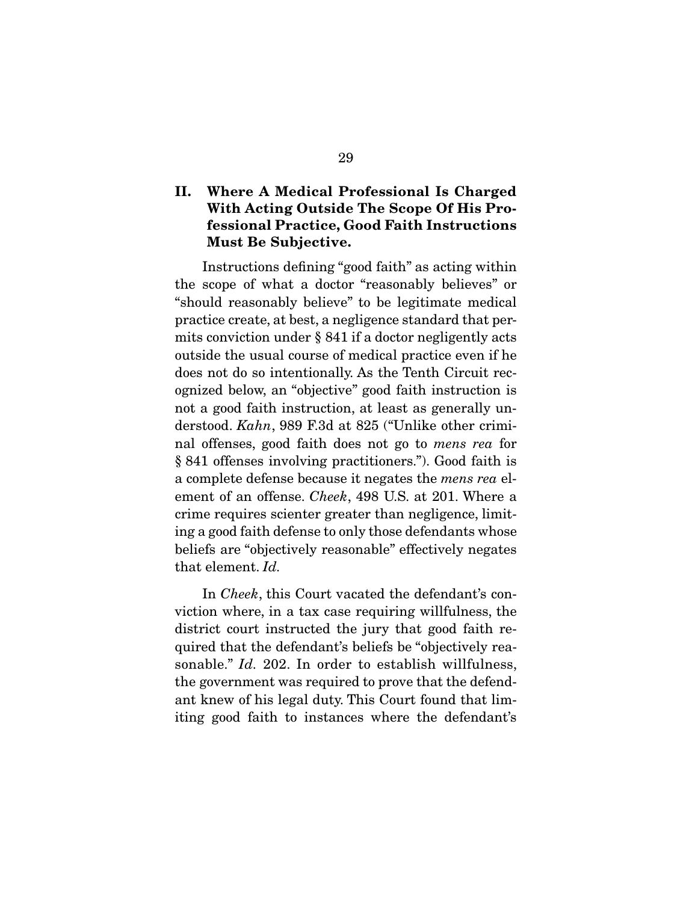## **II. Where A Medical Professional Is Charged With Acting Outside The Scope Of His Professional Practice, Good Faith Instructions Must Be Subjective.**

Instructions defining "good faith" as acting within the scope of what a doctor "reasonably believes" or "should reasonably believe" to be legitimate medical practice create, at best, a negligence standard that permits conviction under § 841 if a doctor negligently acts outside the usual course of medical practice even if he does not do so intentionally. As the Tenth Circuit recognized below, an "objective" good faith instruction is not a good faith instruction, at least as generally understood. Kahn, 989 F.3d at 825 ("Unlike other criminal offenses, good faith does not go to mens rea for § 841 offenses involving practitioners."). Good faith is a complete defense because it negates the mens rea element of an offense. Cheek, 498 U.S. at 201. Where a crime requires scienter greater than negligence, limiting a good faith defense to only those defendants whose beliefs are "objectively reasonable" effectively negates that element. Id.

 In Cheek, this Court vacated the defendant's conviction where, in a tax case requiring willfulness, the district court instructed the jury that good faith required that the defendant's beliefs be "objectively reasonable." *Id.* 202. In order to establish willfulness, the government was required to prove that the defendant knew of his legal duty. This Court found that limiting good faith to instances where the defendant's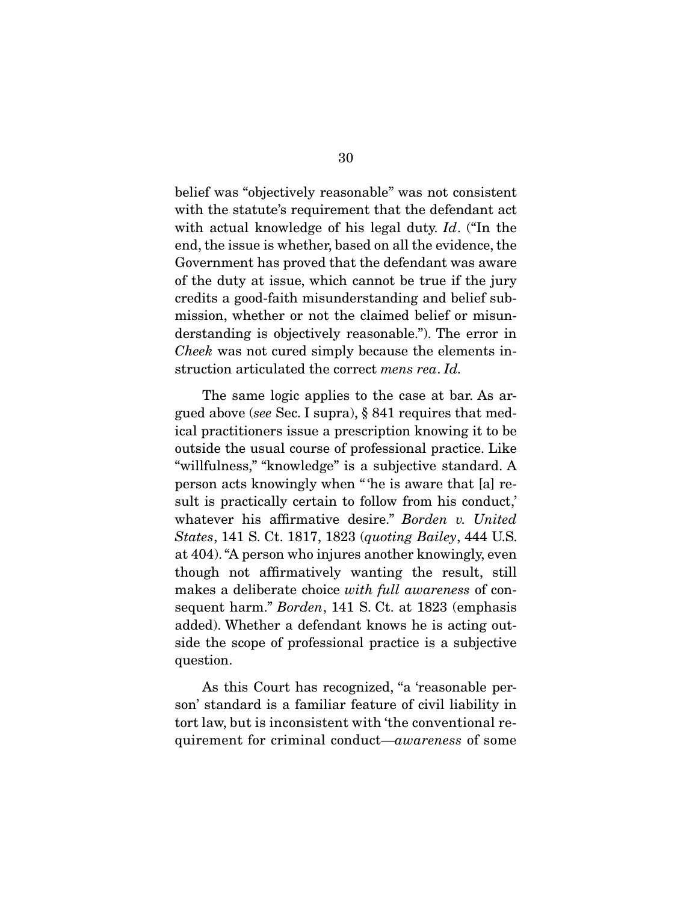belief was "objectively reasonable" was not consistent with the statute's requirement that the defendant act with actual knowledge of his legal duty. Id. ("In the end, the issue is whether, based on all the evidence, the Government has proved that the defendant was aware of the duty at issue, which cannot be true if the jury credits a good-faith misunderstanding and belief submission, whether or not the claimed belief or misunderstanding is objectively reasonable."). The error in Cheek was not cured simply because the elements instruction articulated the correct mens rea. Id.

 The same logic applies to the case at bar. As argued above (see Sec. I supra), § 841 requires that medical practitioners issue a prescription knowing it to be outside the usual course of professional practice. Like "willfulness," "knowledge" is a subjective standard. A person acts knowingly when " 'he is aware that [a] result is practically certain to follow from his conduct,' whatever his affirmative desire." Borden v. United States, 141 S. Ct. 1817, 1823 (quoting Bailey, 444 U.S. at 404). "A person who injures another knowingly, even though not affirmatively wanting the result, still makes a deliberate choice with full awareness of consequent harm." Borden, 141 S. Ct. at 1823 (emphasis added). Whether a defendant knows he is acting outside the scope of professional practice is a subjective question.

 As this Court has recognized, "a 'reasonable person' standard is a familiar feature of civil liability in tort law, but is inconsistent with 'the conventional requirement for criminal conduct—awareness of some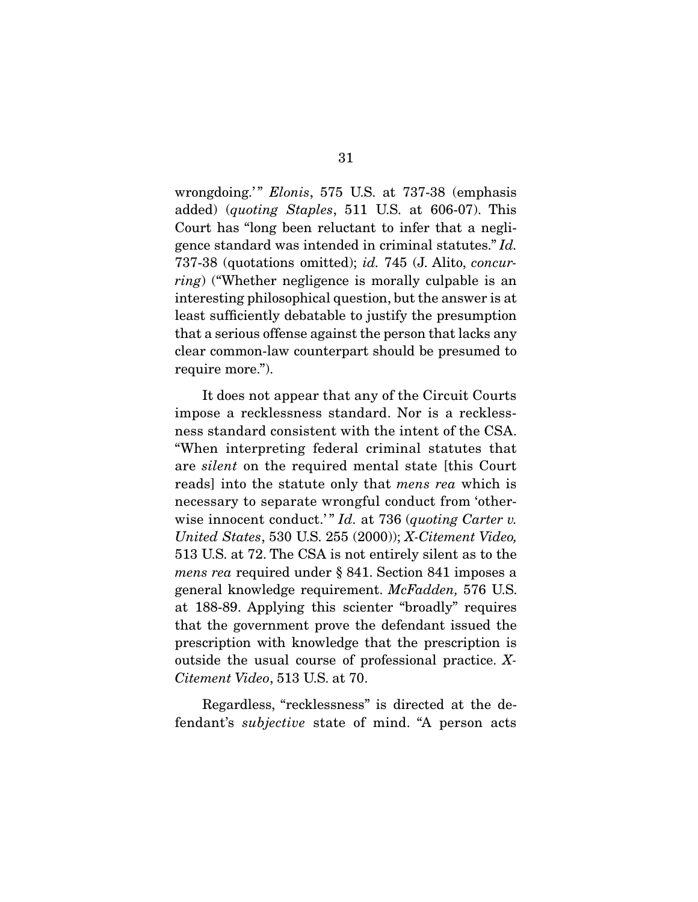wrongdoing.'" Elonis, 575 U.S. at 737-38 (emphasis added) (quoting Staples, 511 U.S. at 606-07). This Court has "long been reluctant to infer that a negligence standard was intended in criminal statutes." Id. 737-38 (quotations omitted); id. 745 (J. Alito, concurring) ("Whether negligence is morally culpable is an interesting philosophical question, but the answer is at least sufficiently debatable to justify the presumption that a serious offense against the person that lacks any clear common-law counterpart should be presumed to require more.").

 It does not appear that any of the Circuit Courts impose a recklessness standard. Nor is a recklessness standard consistent with the intent of the CSA. "When interpreting federal criminal statutes that are silent on the required mental state [this Court reads] into the statute only that mens rea which is necessary to separate wrongful conduct from 'otherwise innocent conduct.'"  $Id.$  at 736 (quoting Carter v. United States, 530 U.S. 255 (2000)); X-Citement Video, 513 U.S. at 72. The CSA is not entirely silent as to the mens rea required under § 841. Section 841 imposes a general knowledge requirement. McFadden, 576 U.S. at 188-89. Applying this scienter "broadly" requires that the government prove the defendant issued the prescription with knowledge that the prescription is outside the usual course of professional practice. X-Citement Video, 513 U.S. at 70.

 Regardless, "recklessness" is directed at the defendant's subjective state of mind. "A person acts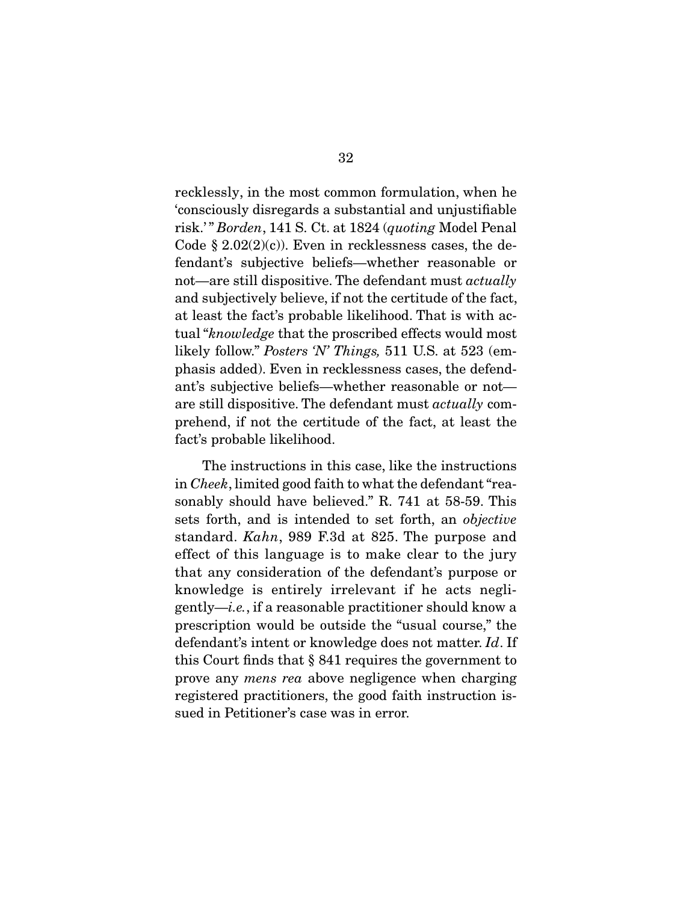recklessly, in the most common formulation, when he 'consciously disregards a substantial and unjustifiable risk.'" Borden, 141 S. Ct. at 1824 (quoting Model Penal Code  $\S 2.02(2)(c)$ . Even in recklessness cases, the defendant's subjective beliefs—whether reasonable or not—are still dispositive. The defendant must *actually* and subjectively believe, if not the certitude of the fact, at least the fact's probable likelihood. That is with actual "knowledge that the proscribed effects would most likely follow." Posters 'N' Things, 511 U.S. at 523 (emphasis added). Even in recklessness cases, the defendant's subjective beliefs—whether reasonable or not are still dispositive. The defendant must actually comprehend, if not the certitude of the fact, at least the fact's probable likelihood.

 The instructions in this case, like the instructions in Cheek, limited good faith to what the defendant "reasonably should have believed." R. 741 at 58-59. This sets forth, and is intended to set forth, an objective standard. Kahn, 989 F.3d at 825. The purpose and effect of this language is to make clear to the jury that any consideration of the defendant's purpose or knowledge is entirely irrelevant if he acts negligently—i.e., if a reasonable practitioner should know a prescription would be outside the "usual course," the defendant's intent or knowledge does not matter. Id. If this Court finds that § 841 requires the government to prove any mens rea above negligence when charging registered practitioners, the good faith instruction issued in Petitioner's case was in error.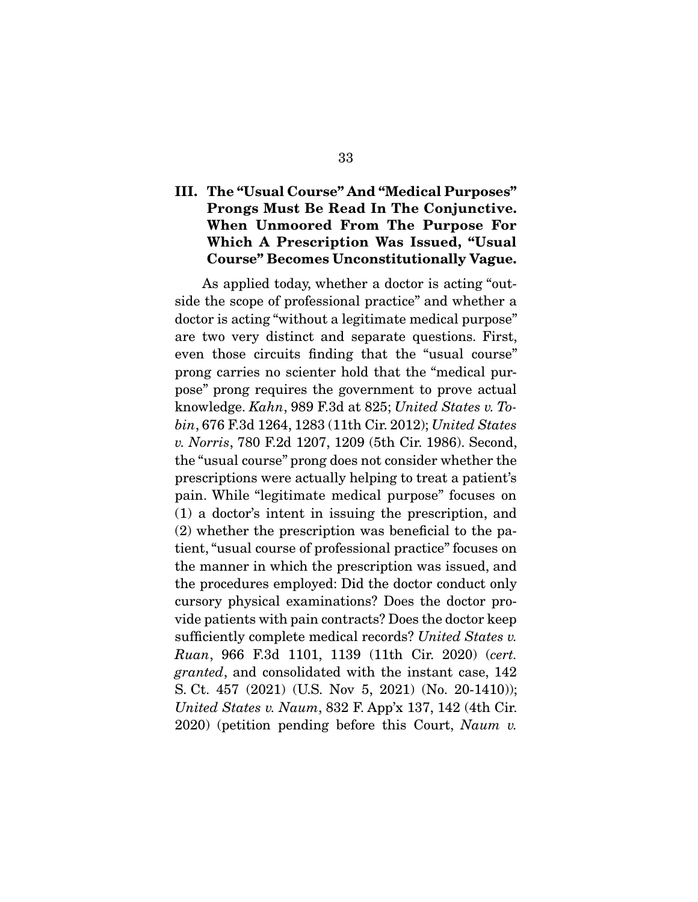## **III. The "Usual Course" And "Medical Purposes" Prongs Must Be Read In The Conjunctive. When Unmoored From The Purpose For Which A Prescription Was Issued, "Usual Course" Becomes Unconstitutionally Vague.**

As applied today, whether a doctor is acting "outside the scope of professional practice" and whether a doctor is acting "without a legitimate medical purpose" are two very distinct and separate questions. First, even those circuits finding that the "usual course" prong carries no scienter hold that the "medical purpose" prong requires the government to prove actual knowledge. Kahn, 989 F.3d at 825; United States v. Tobin, 676 F.3d 1264, 1283 (11th Cir. 2012); United States v. Norris, 780 F.2d 1207, 1209 (5th Cir. 1986). Second, the "usual course" prong does not consider whether the prescriptions were actually helping to treat a patient's pain. While "legitimate medical purpose" focuses on (1) a doctor's intent in issuing the prescription, and (2) whether the prescription was beneficial to the patient, "usual course of professional practice" focuses on the manner in which the prescription was issued, and the procedures employed: Did the doctor conduct only cursory physical examinations? Does the doctor provide patients with pain contracts? Does the doctor keep sufficiently complete medical records? United States v. Ruan, 966 F.3d 1101, 1139 (11th Cir. 2020) (cert. granted, and consolidated with the instant case, 142 S. Ct. 457 (2021) (U.S. Nov 5, 2021) (No. 20-1410)); United States v. Naum, 832 F. App'x 137, 142 (4th Cir.  $2020$ ) (petition pending before this Court, Naum v.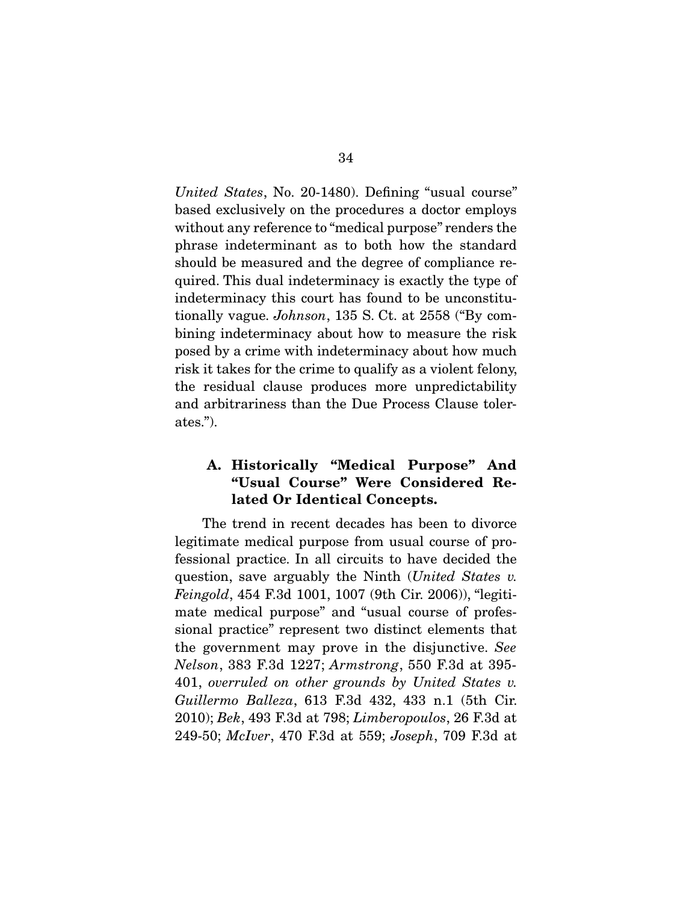United States, No. 20-1480). Defining "usual course" based exclusively on the procedures a doctor employs without any reference to "medical purpose" renders the phrase indeterminant as to both how the standard should be measured and the degree of compliance required. This dual indeterminacy is exactly the type of indeterminacy this court has found to be unconstitutionally vague. Johnson, 135 S. Ct. at 2558 ("By combining indeterminacy about how to measure the risk posed by a crime with indeterminacy about how much risk it takes for the crime to qualify as a violent felony, the residual clause produces more unpredictability and arbitrariness than the Due Process Clause tolerates.").

## **A. Historically "Medical Purpose" And "Usual Course" Were Considered Related Or Identical Concepts.**

The trend in recent decades has been to divorce legitimate medical purpose from usual course of professional practice. In all circuits to have decided the question, save arguably the Ninth (United States v. Feingold, 454 F.3d 1001, 1007 (9th Cir. 2006)), "legitimate medical purpose" and "usual course of professional practice" represent two distinct elements that the government may prove in the disjunctive. See Nelson, 383 F.3d 1227; Armstrong, 550 F.3d at 395- 401, overruled on other grounds by United States v. Guillermo Balleza, 613 F.3d 432, 433 n.1 (5th Cir. 2010); Bek, 493 F.3d at 798; Limberopoulos, 26 F.3d at 249-50; McIver, 470 F.3d at 559; Joseph, 709 F.3d at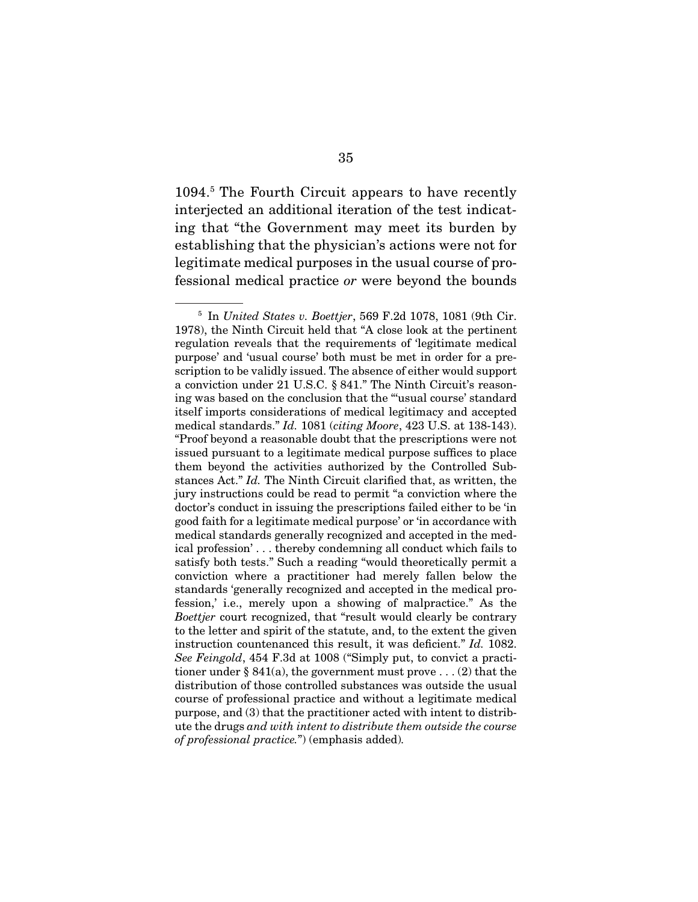1094.5 The Fourth Circuit appears to have recently interjected an additional iteration of the test indicating that "the Government may meet its burden by establishing that the physician's actions were not for legitimate medical purposes in the usual course of professional medical practice or were beyond the bounds

 $5$  In United States v. Boettjer, 569 F.2d 1078, 1081 (9th Cir. 1978), the Ninth Circuit held that "A close look at the pertinent regulation reveals that the requirements of 'legitimate medical purpose' and 'usual course' both must be met in order for a prescription to be validly issued. The absence of either would support a conviction under 21 U.S.C. § 841." The Ninth Circuit's reasoning was based on the conclusion that the "'usual course' standard itself imports considerations of medical legitimacy and accepted medical standards." Id. 1081 (citing Moore, 423 U.S. at 138-143). "Proof beyond a reasonable doubt that the prescriptions were not issued pursuant to a legitimate medical purpose suffices to place them beyond the activities authorized by the Controlled Substances Act." Id. The Ninth Circuit clarified that, as written, the jury instructions could be read to permit "a conviction where the doctor's conduct in issuing the prescriptions failed either to be 'in good faith for a legitimate medical purpose' or 'in accordance with medical standards generally recognized and accepted in the medical profession' . . . thereby condemning all conduct which fails to satisfy both tests." Such a reading "would theoretically permit a conviction where a practitioner had merely fallen below the standards 'generally recognized and accepted in the medical profession,' i.e., merely upon a showing of malpractice." As the Boettjer court recognized, that "result would clearly be contrary to the letter and spirit of the statute, and, to the extent the given instruction countenanced this result, it was deficient." Id. 1082. See Feingold, 454 F.3d at 1008 ("Simply put, to convict a practitioner under § 841(a), the government must prove  $\dots$  (2) that the distribution of those controlled substances was outside the usual course of professional practice and without a legitimate medical purpose, and (3) that the practitioner acted with intent to distribute the drugs and with intent to distribute them outside the course of professional practice.") (emphasis added).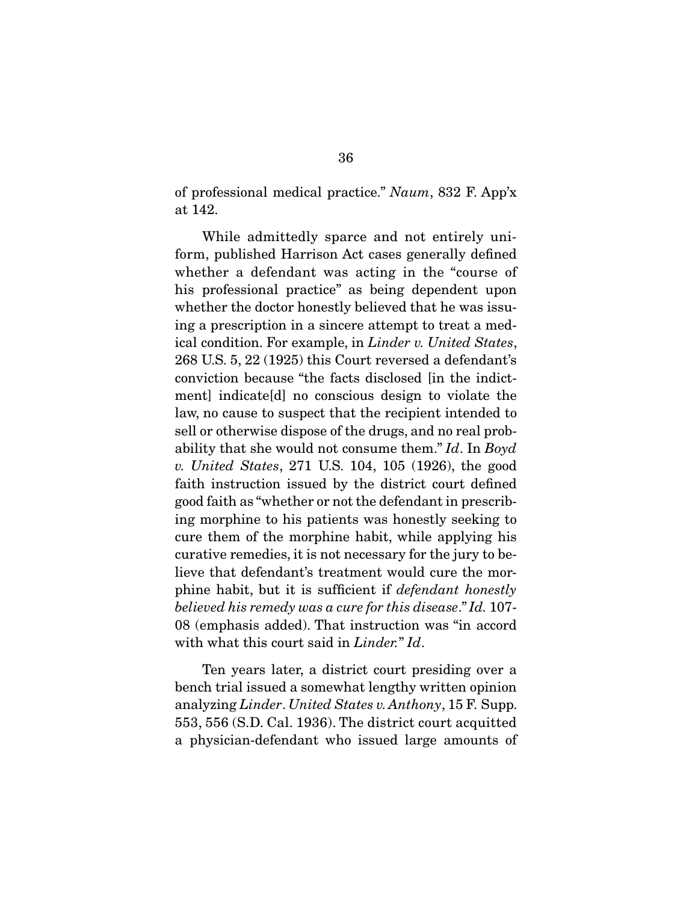of professional medical practice." Naum, 832 F. App'x at 142.

 While admittedly sparce and not entirely uniform, published Harrison Act cases generally defined whether a defendant was acting in the "course of his professional practice" as being dependent upon whether the doctor honestly believed that he was issuing a prescription in a sincere attempt to treat a medical condition. For example, in *Linder v. United States*, 268 U.S. 5, 22 (1925) this Court reversed a defendant's conviction because "the facts disclosed [in the indictment] indicate[d] no conscious design to violate the law, no cause to suspect that the recipient intended to sell or otherwise dispose of the drugs, and no real probability that she would not consume them." Id. In Boyd v. United States, 271 U.S. 104, 105 (1926), the good faith instruction issued by the district court defined good faith as "whether or not the defendant in prescribing morphine to his patients was honestly seeking to cure them of the morphine habit, while applying his curative remedies, it is not necessary for the jury to believe that defendant's treatment would cure the morphine habit, but it is sufficient if defendant honestly believed his remedy was a cure for this disease." Id. 107- 08 (emphasis added). That instruction was "in accord with what this court said in Linder." Id.

 Ten years later, a district court presiding over a bench trial issued a somewhat lengthy written opinion analyzing Linder. United States v. Anthony, 15 F. Supp. 553, 556 (S.D. Cal. 1936). The district court acquitted a physician-defendant who issued large amounts of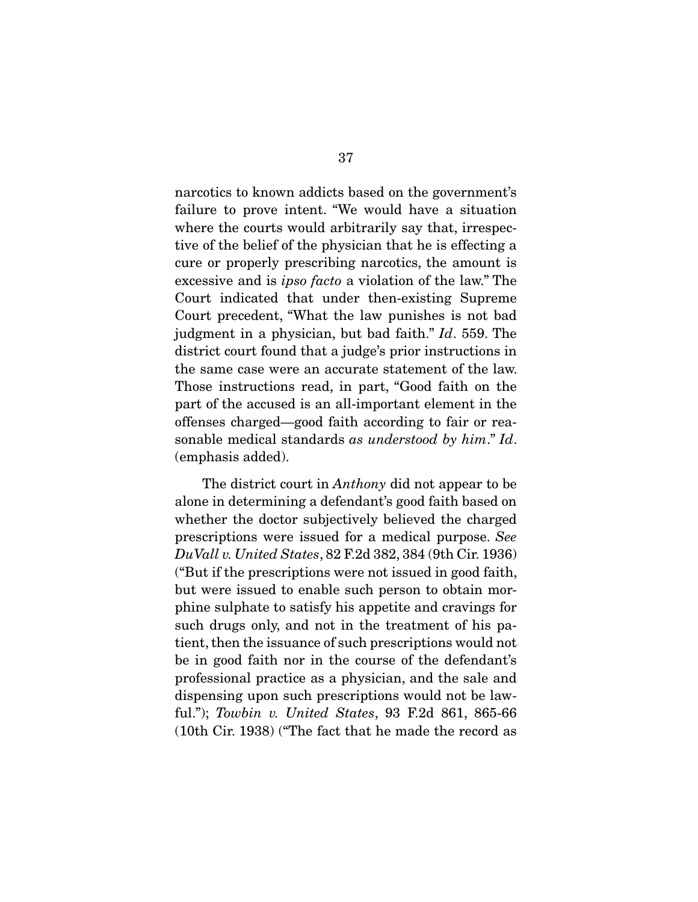narcotics to known addicts based on the government's failure to prove intent. "We would have a situation where the courts would arbitrarily say that, irrespective of the belief of the physician that he is effecting a cure or properly prescribing narcotics, the amount is excessive and is ipso facto a violation of the law." The Court indicated that under then-existing Supreme Court precedent, "What the law punishes is not bad judgment in a physician, but bad faith." Id. 559. The district court found that a judge's prior instructions in the same case were an accurate statement of the law. Those instructions read, in part, "Good faith on the part of the accused is an all-important element in the offenses charged—good faith according to fair or reasonable medical standards as understood by him." Id. (emphasis added).

 The district court in Anthony did not appear to be alone in determining a defendant's good faith based on whether the doctor subjectively believed the charged prescriptions were issued for a medical purpose. See DuVall v. United States, 82 F.2d 382, 384 (9th Cir. 1936) ("But if the prescriptions were not issued in good faith, but were issued to enable such person to obtain morphine sulphate to satisfy his appetite and cravings for such drugs only, and not in the treatment of his patient, then the issuance of such prescriptions would not be in good faith nor in the course of the defendant's professional practice as a physician, and the sale and dispensing upon such prescriptions would not be lawful."); Towbin v. United States, 93 F.2d 861, 865-66 (10th Cir. 1938) ("The fact that he made the record as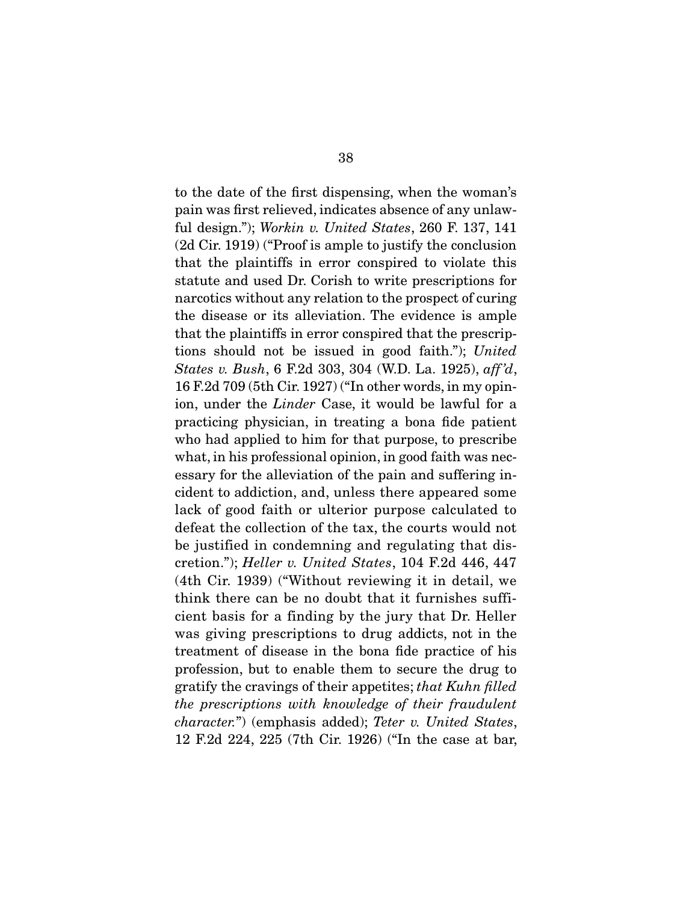to the date of the first dispensing, when the woman's pain was first relieved, indicates absence of any unlawful design."); Workin v. United States, 260 F. 137, 141 (2d Cir. 1919) ("Proof is ample to justify the conclusion that the plaintiffs in error conspired to violate this statute and used Dr. Corish to write prescriptions for narcotics without any relation to the prospect of curing the disease or its alleviation. The evidence is ample that the plaintiffs in error conspired that the prescriptions should not be issued in good faith."); United States v. Bush, 6 F.2d 303, 304 (W.D. La. 1925), aff 'd, 16 F.2d 709 (5th Cir. 1927) ("In other words, in my opinion, under the Linder Case, it would be lawful for a practicing physician, in treating a bona fide patient who had applied to him for that purpose, to prescribe what, in his professional opinion, in good faith was necessary for the alleviation of the pain and suffering incident to addiction, and, unless there appeared some lack of good faith or ulterior purpose calculated to defeat the collection of the tax, the courts would not be justified in condemning and regulating that discretion."); Heller v. United States, 104 F.2d 446, 447 (4th Cir. 1939) ("Without reviewing it in detail, we think there can be no doubt that it furnishes sufficient basis for a finding by the jury that Dr. Heller was giving prescriptions to drug addicts, not in the treatment of disease in the bona fide practice of his profession, but to enable them to secure the drug to gratify the cravings of their appetites; that Kuhn filled the prescriptions with knowledge of their fraudulent character.") (emphasis added); Teter v. United States, 12 F.2d 224, 225 (7th Cir. 1926) ("In the case at bar,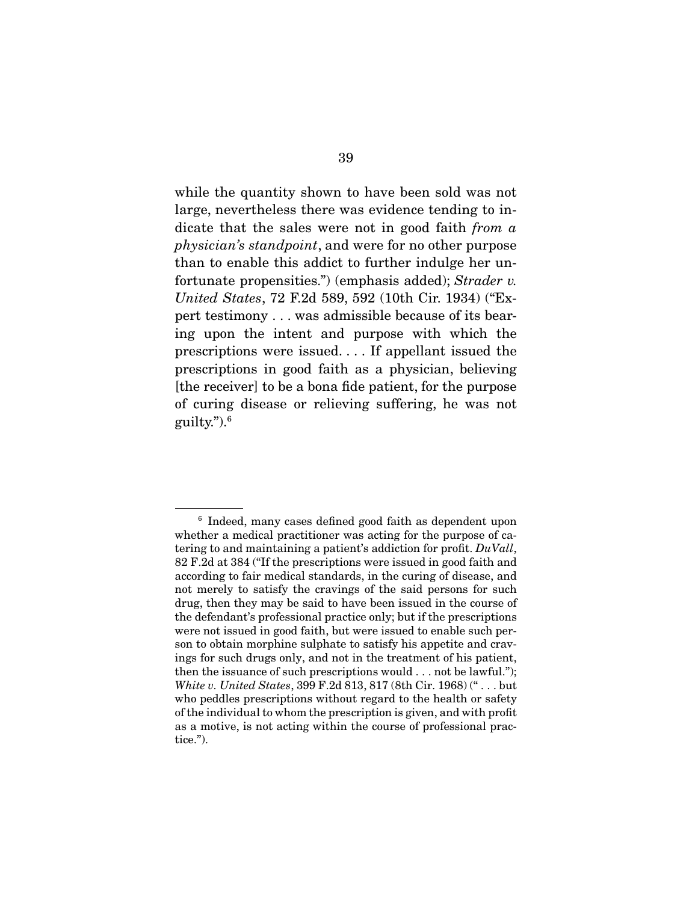while the quantity shown to have been sold was not large, nevertheless there was evidence tending to indicate that the sales were not in good faith from a physician's standpoint, and were for no other purpose than to enable this addict to further indulge her unfortunate propensities.") (emphasis added); Strader v. United States, 72 F.2d 589, 592 (10th Cir. 1934) ("Expert testimony . . . was admissible because of its bearing upon the intent and purpose with which the prescriptions were issued. . . . If appellant issued the prescriptions in good faith as a physician, believing [the receiver] to be a bona fide patient, for the purpose of curing disease or relieving suffering, he was not guilty.").6

<sup>&</sup>lt;sup>6</sup> Indeed, many cases defined good faith as dependent upon whether a medical practitioner was acting for the purpose of catering to and maintaining a patient's addiction for profit. DuVall, 82 F.2d at 384 ("If the prescriptions were issued in good faith and according to fair medical standards, in the curing of disease, and not merely to satisfy the cravings of the said persons for such drug, then they may be said to have been issued in the course of the defendant's professional practice only; but if the prescriptions were not issued in good faith, but were issued to enable such person to obtain morphine sulphate to satisfy his appetite and cravings for such drugs only, and not in the treatment of his patient, then the issuance of such prescriptions would . . . not be lawful."); White v. United States, 399 F.2d 813, 817 (8th Cir. 1968) (" . . . but who peddles prescriptions without regard to the health or safety of the individual to whom the prescription is given, and with profit as a motive, is not acting within the course of professional practice.").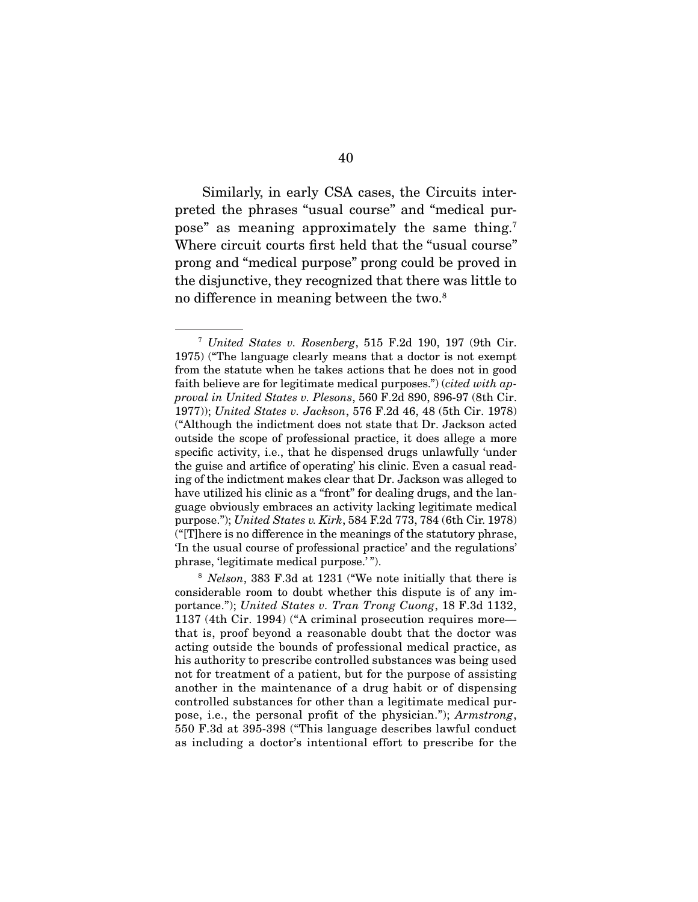Similarly, in early CSA cases, the Circuits interpreted the phrases "usual course" and "medical purpose" as meaning approximately the same thing.7 Where circuit courts first held that the "usual course" prong and "medical purpose" prong could be proved in the disjunctive, they recognized that there was little to no difference in meaning between the two.<sup>8</sup>

<sup>7</sup> United States v. Rosenberg, 515 F.2d 190, 197 (9th Cir. 1975) ("The language clearly means that a doctor is not exempt from the statute when he takes actions that he does not in good faith believe are for legitimate medical purposes.") (*cited with ap*proval in United States v. Plesons, 560 F.2d 890, 896-97 (8th Cir. 1977)); United States v. Jackson, 576 F.2d 46, 48 (5th Cir. 1978) ("Although the indictment does not state that Dr. Jackson acted outside the scope of professional practice, it does allege a more specific activity, i.e., that he dispensed drugs unlawfully 'under the guise and artifice of operating' his clinic. Even a casual reading of the indictment makes clear that Dr. Jackson was alleged to have utilized his clinic as a "front" for dealing drugs, and the language obviously embraces an activity lacking legitimate medical purpose."); United States v. Kirk, 584 F.2d 773, 784 (6th Cir. 1978) ("[T]here is no difference in the meanings of the statutory phrase, 'In the usual course of professional practice' and the regulations' phrase, 'legitimate medical purpose.' ").

<sup>8</sup> Nelson, 383 F.3d at 1231 ("We note initially that there is considerable room to doubt whether this dispute is of any importance."); United States v. Tran Trong Cuong, 18 F.3d 1132, 1137 (4th Cir. 1994) ("A criminal prosecution requires more that is, proof beyond a reasonable doubt that the doctor was acting outside the bounds of professional medical practice, as his authority to prescribe controlled substances was being used not for treatment of a patient, but for the purpose of assisting another in the maintenance of a drug habit or of dispensing controlled substances for other than a legitimate medical purpose, i.e., the personal profit of the physician."); Armstrong, 550 F.3d at 395-398 ("This language describes lawful conduct as including a doctor's intentional effort to prescribe for the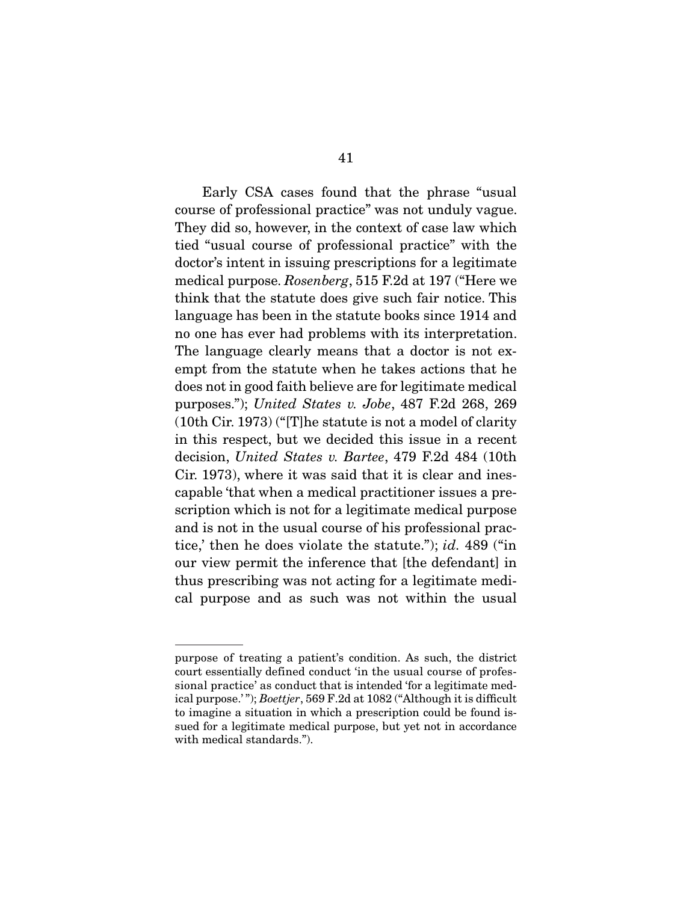Early CSA cases found that the phrase "usual course of professional practice" was not unduly vague. They did so, however, in the context of case law which tied "usual course of professional practice" with the doctor's intent in issuing prescriptions for a legitimate medical purpose. Rosenberg, 515 F.2d at 197 ("Here we think that the statute does give such fair notice. This language has been in the statute books since 1914 and no one has ever had problems with its interpretation. The language clearly means that a doctor is not exempt from the statute when he takes actions that he does not in good faith believe are for legitimate medical purposes."); United States v. Jobe, 487 F.2d 268, 269 (10th Cir. 1973) ("[T]he statute is not a model of clarity in this respect, but we decided this issue in a recent decision, United States v. Bartee, 479 F.2d 484 (10th Cir. 1973), where it was said that it is clear and inescapable 'that when a medical practitioner issues a prescription which is not for a legitimate medical purpose and is not in the usual course of his professional practice,' then he does violate the statute."); id. 489 ("in our view permit the inference that [the defendant] in thus prescribing was not acting for a legitimate medical purpose and as such was not within the usual

purpose of treating a patient's condition. As such, the district court essentially defined conduct 'in the usual course of professional practice' as conduct that is intended 'for a legitimate medical purpose.' "); Boettjer, 569 F.2d at 1082 ("Although it is difficult to imagine a situation in which a prescription could be found issued for a legitimate medical purpose, but yet not in accordance with medical standards.").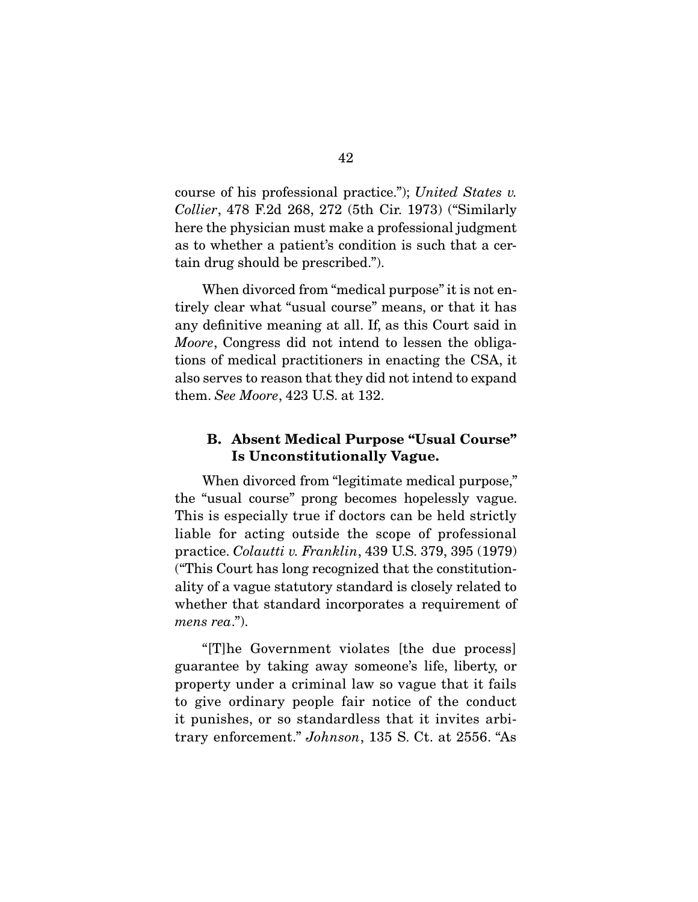course of his professional practice."); United States v. Collier, 478 F.2d 268, 272 (5th Cir. 1973) ("Similarly here the physician must make a professional judgment as to whether a patient's condition is such that a certain drug should be prescribed.").

When divorced from "medical purpose" it is not entirely clear what "usual course" means, or that it has any definitive meaning at all. If, as this Court said in Moore, Congress did not intend to lessen the obligations of medical practitioners in enacting the CSA, it also serves to reason that they did not intend to expand them. See Moore, 423 U.S. at 132.

### **B. Absent Medical Purpose "Usual Course" Is Unconstitutionally Vague.**

When divorced from "legitimate medical purpose," the "usual course" prong becomes hopelessly vague. This is especially true if doctors can be held strictly liable for acting outside the scope of professional practice. Colautti v. Franklin, 439 U.S. 379, 395 (1979) ("This Court has long recognized that the constitutionality of a vague statutory standard is closely related to whether that standard incorporates a requirement of mens rea.").

 "[T]he Government violates [the due process] guarantee by taking away someone's life, liberty, or property under a criminal law so vague that it fails to give ordinary people fair notice of the conduct it punishes, or so standardless that it invites arbitrary enforcement." Johnson, 135 S. Ct. at 2556. "As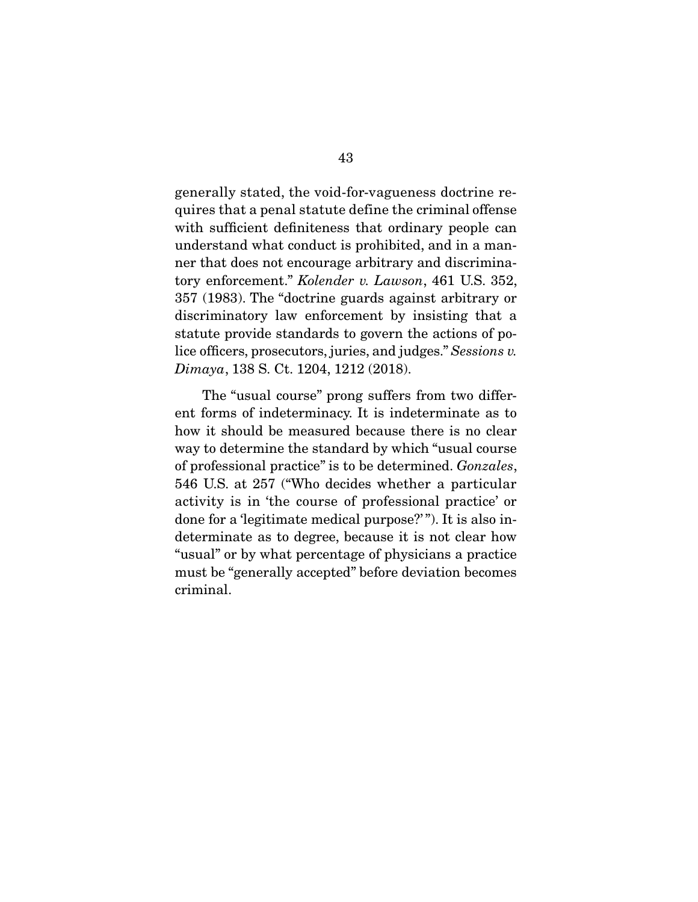generally stated, the void-for-vagueness doctrine requires that a penal statute define the criminal offense with sufficient definiteness that ordinary people can understand what conduct is prohibited, and in a manner that does not encourage arbitrary and discriminatory enforcement." Kolender v. Lawson, 461 U.S. 352, 357 (1983). The "doctrine guards against arbitrary or discriminatory law enforcement by insisting that a statute provide standards to govern the actions of police officers, prosecutors, juries, and judges." Sessions v. Dimaya, 138 S. Ct. 1204, 1212 (2018).

 The "usual course" prong suffers from two different forms of indeterminacy. It is indeterminate as to how it should be measured because there is no clear way to determine the standard by which "usual course of professional practice" is to be determined. Gonzales, 546 U.S. at 257 ("Who decides whether a particular activity is in 'the course of professional practice' or done for a 'legitimate medical purpose?' "). It is also indeterminate as to degree, because it is not clear how "usual" or by what percentage of physicians a practice must be "generally accepted" before deviation becomes criminal.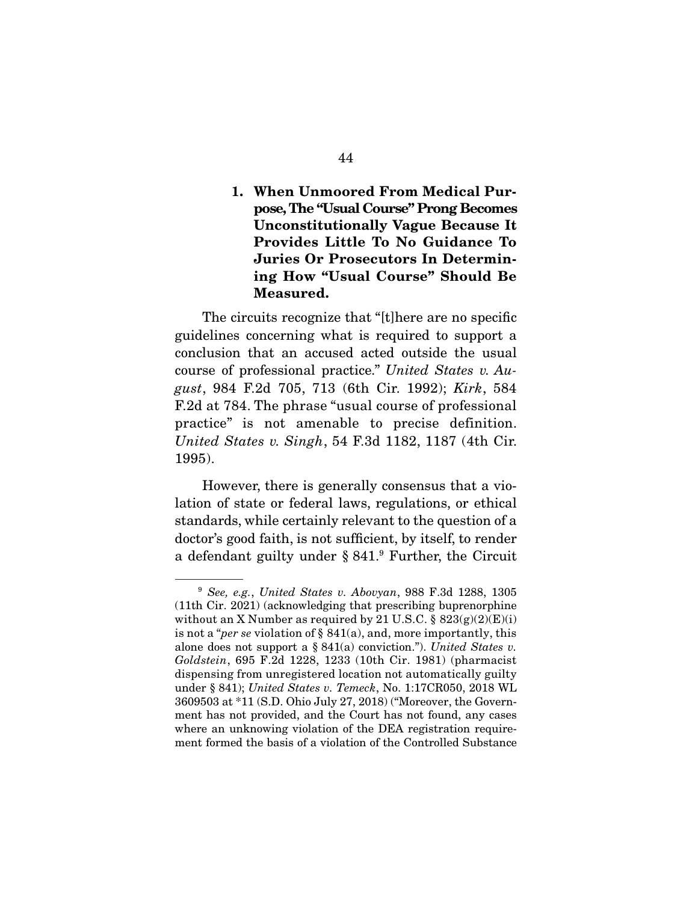## **1. When Unmoored From Medical Purpose, The "Usual Course" Prong Becomes Unconstitutionally Vague Because It Provides Little To No Guidance To Juries Or Prosecutors In Determining How "Usual Course" Should Be Measured.**

The circuits recognize that "[t]here are no specific guidelines concerning what is required to support a conclusion that an accused acted outside the usual course of professional practice." United States v. August, 984 F.2d 705, 713 (6th Cir. 1992); Kirk, 584 F.2d at 784. The phrase "usual course of professional practice" is not amenable to precise definition. United States v. Singh, 54 F.3d 1182, 1187 (4th Cir. 1995).

 However, there is generally consensus that a violation of state or federal laws, regulations, or ethical standards, while certainly relevant to the question of a doctor's good faith, is not sufficient, by itself, to render a defendant guilty under § 841.9 Further, the Circuit

 $9$  See, e.g., United States v. Abovyan, 988 F.3d 1288, 1305 (11th Cir. 2021) (acknowledging that prescribing buprenorphine without an X Number as required by 21 U.S.C.  $\S$  823(g)(2)(E)(i) is not a "*per se* violation of  $\S$  841(a), and, more importantly, this alone does not support a  $\S 841(a)$  conviction."). United States v. Goldstein, 695 F.2d 1228, 1233 (10th Cir. 1981) (pharmacist dispensing from unregistered location not automatically guilty under § 841); United States v. Temeck, No. 1:17CR050, 2018 WL 3609503 at \*11 (S.D. Ohio July 27, 2018) ("Moreover, the Government has not provided, and the Court has not found, any cases where an unknowing violation of the DEA registration requirement formed the basis of a violation of the Controlled Substance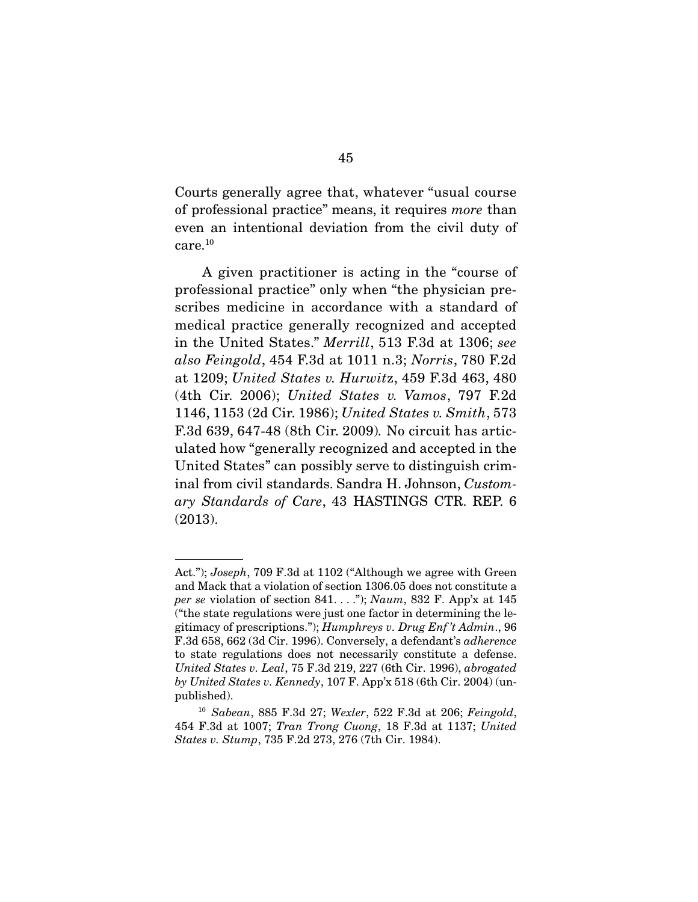Courts generally agree that, whatever "usual course of professional practice" means, it requires more than even an intentional deviation from the civil duty of care.10

 A given practitioner is acting in the "course of professional practice" only when "the physician prescribes medicine in accordance with a standard of medical practice generally recognized and accepted in the United States." Merrill, 513 F.3d at 1306; see also Feingold, 454 F.3d at 1011 n.3; Norris, 780 F.2d at 1209; United States v. Hurwitz, 459 F.3d 463, 480 (4th Cir. 2006); United States v. Vamos, 797 F.2d 1146, 1153 (2d Cir. 1986); United States v. Smith, 573 F.3d 639, 647-48 (8th Cir. 2009). No circuit has articulated how "generally recognized and accepted in the United States" can possibly serve to distinguish criminal from civil standards. Sandra H. Johnson, Customary Standards of Care, 43 HASTINGS CTR. REP. 6 (2013).

Act."); Joseph, 709 F.3d at 1102 ("Although we agree with Green and Mack that a violation of section 1306.05 does not constitute a per se violation of section 841. . . ."); Naum, 832 F. App'x at 145 ("the state regulations were just one factor in determining the legitimacy of prescriptions."); Humphreys v. Drug Enf 't Admin., 96 F.3d 658, 662 (3d Cir. 1996). Conversely, a defendant's adherence to state regulations does not necessarily constitute a defense. United States v. Leal, 75 F.3d 219, 227 (6th Cir. 1996), abrogated by United States v. Kennedy, 107 F. App'x 518 (6th Cir. 2004) (unpublished).

 $10$  Sabean, 885 F.3d 27; Wexler, 522 F.3d at 206; Feingold, 454 F.3d at 1007; Tran Trong Cuong, 18 F.3d at 1137; United States v. Stump, 735 F.2d 273, 276 (7th Cir. 1984).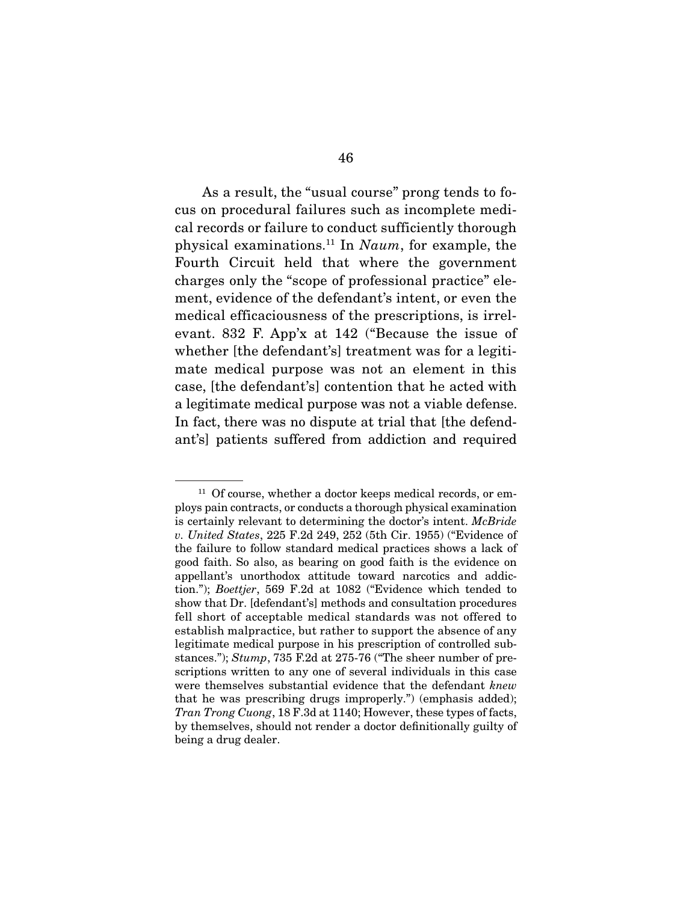As a result, the "usual course" prong tends to focus on procedural failures such as incomplete medical records or failure to conduct sufficiently thorough physical examinations.<sup>11</sup> In Naum, for example, the Fourth Circuit held that where the government charges only the "scope of professional practice" element, evidence of the defendant's intent, or even the medical efficaciousness of the prescriptions, is irrelevant. 832 F. App'x at 142 ("Because the issue of whether [the defendant's] treatment was for a legitimate medical purpose was not an element in this case, [the defendant's] contention that he acted with a legitimate medical purpose was not a viable defense. In fact, there was no dispute at trial that [the defendant's] patients suffered from addiction and required

 $11$  Of course, whether a doctor keeps medical records, or employs pain contracts, or conducts a thorough physical examination is certainly relevant to determining the doctor's intent. McBride v. United States, 225 F.2d 249, 252 (5th Cir. 1955) ("Evidence of the failure to follow standard medical practices shows a lack of good faith. So also, as bearing on good faith is the evidence on appellant's unorthodox attitude toward narcotics and addiction."); Boettjer, 569 F.2d at 1082 ("Evidence which tended to show that Dr. [defendant's] methods and consultation procedures fell short of acceptable medical standards was not offered to establish malpractice, but rather to support the absence of any legitimate medical purpose in his prescription of controlled substances."); Stump, 735 F.2d at 275-76 ("The sheer number of prescriptions written to any one of several individuals in this case were themselves substantial evidence that the defendant knew that he was prescribing drugs improperly.") (emphasis added); Tran Trong Cuong, 18 F.3d at 1140; However, these types of facts, by themselves, should not render a doctor definitionally guilty of being a drug dealer.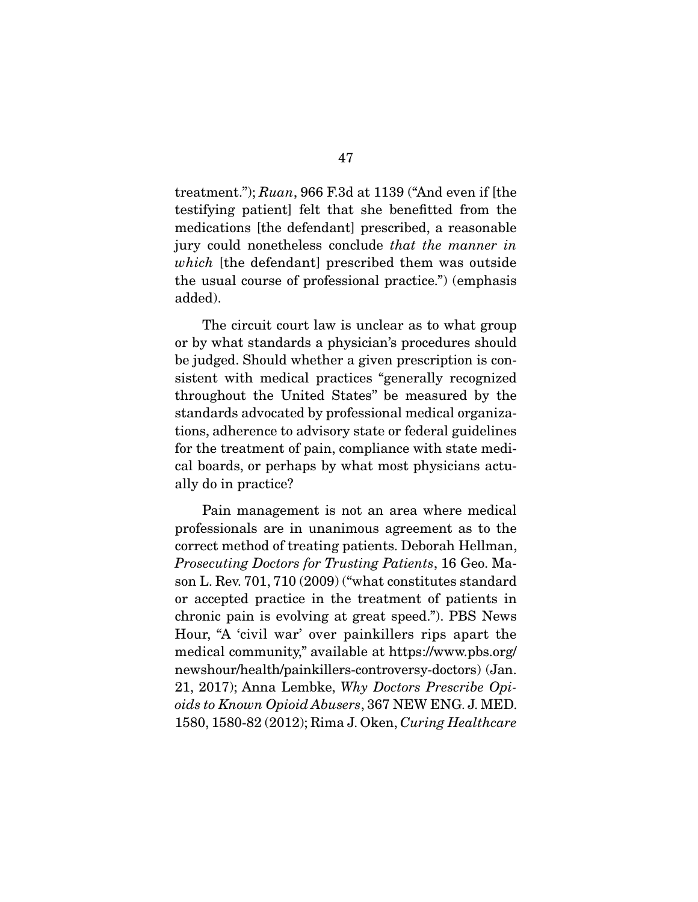treatment."); Ruan, 966 F.3d at 1139 ("And even if [the testifying patient] felt that she benefitted from the medications [the defendant] prescribed, a reasonable jury could nonetheless conclude that the manner in which [the defendant] prescribed them was outside the usual course of professional practice.") (emphasis added).

 The circuit court law is unclear as to what group or by what standards a physician's procedures should be judged. Should whether a given prescription is consistent with medical practices "generally recognized throughout the United States" be measured by the standards advocated by professional medical organizations, adherence to advisory state or federal guidelines for the treatment of pain, compliance with state medical boards, or perhaps by what most physicians actually do in practice?

 Pain management is not an area where medical professionals are in unanimous agreement as to the correct method of treating patients. Deborah Hellman, Prosecuting Doctors for Trusting Patients, 16 Geo. Mason L. Rev. 701, 710 (2009) ("what constitutes standard or accepted practice in the treatment of patients in chronic pain is evolving at great speed."). PBS News Hour, "A 'civil war' over painkillers rips apart the medical community," available at https://www.pbs.org/ newshour/health/painkillers-controversy-doctors) (Jan. 21, 2017); Anna Lembke, Why Doctors Prescribe Opioids to Known Opioid Abusers, 367 NEW ENG. J. MED. 1580, 1580-82 (2012); Rima J. Oken, Curing Healthcare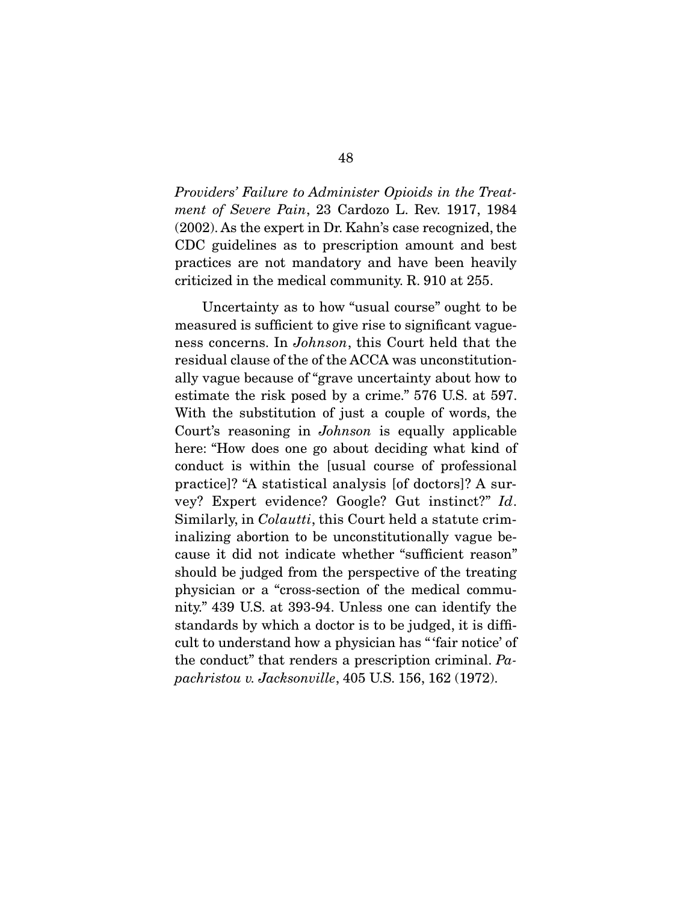Providers' Failure to Administer Opioids in the Treatment of Severe Pain, 23 Cardozo L. Rev. 1917, 1984 (2002). As the expert in Dr. Kahn's case recognized, the CDC guidelines as to prescription amount and best practices are not mandatory and have been heavily criticized in the medical community. R. 910 at 255.

 Uncertainty as to how "usual course" ought to be measured is sufficient to give rise to significant vagueness concerns. In Johnson, this Court held that the residual clause of the of the ACCA was unconstitutionally vague because of "grave uncertainty about how to estimate the risk posed by a crime." 576 U.S. at 597. With the substitution of just a couple of words, the Court's reasoning in Johnson is equally applicable here: "How does one go about deciding what kind of conduct is within the [usual course of professional practice]? "A statistical analysis [of doctors]? A survey? Expert evidence? Google? Gut instinct?" Id. Similarly, in *Colautti*, this Court held a statute criminalizing abortion to be unconstitutionally vague because it did not indicate whether "sufficient reason" should be judged from the perspective of the treating physician or a "cross-section of the medical community." 439 U.S. at 393-94. Unless one can identify the standards by which a doctor is to be judged, it is difficult to understand how a physician has " 'fair notice' of the conduct" that renders a prescription criminal. Papachristou v. Jacksonville, 405 U.S. 156, 162 (1972).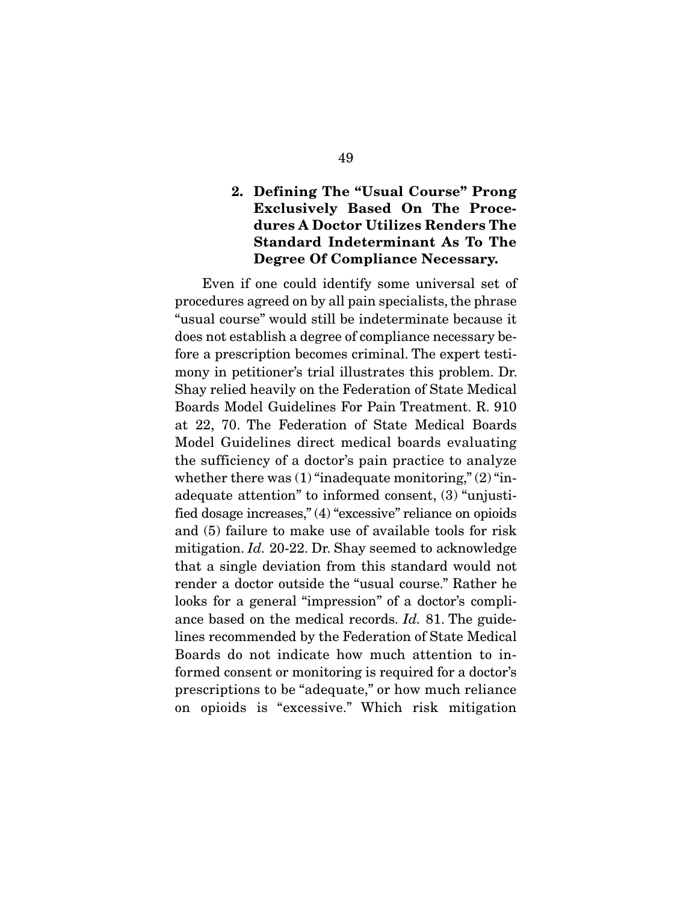## **2. Defining The "Usual Course" Prong Exclusively Based On The Procedures A Doctor Utilizes Renders The Standard Indeterminant As To The Degree Of Compliance Necessary.**

Even if one could identify some universal set of procedures agreed on by all pain specialists, the phrase "usual course" would still be indeterminate because it does not establish a degree of compliance necessary before a prescription becomes criminal. The expert testimony in petitioner's trial illustrates this problem. Dr. Shay relied heavily on the Federation of State Medical Boards Model Guidelines For Pain Treatment. R. 910 at 22, 70. The Federation of State Medical Boards Model Guidelines direct medical boards evaluating the sufficiency of a doctor's pain practice to analyze whether there was  $(1)$  "inadequate monitoring,"  $(2)$  "inadequate attention" to informed consent, (3) "unjustified dosage increases," (4) "excessive" reliance on opioids and (5) failure to make use of available tools for risk mitigation. Id. 20-22. Dr. Shay seemed to acknowledge that a single deviation from this standard would not render a doctor outside the "usual course." Rather he looks for a general "impression" of a doctor's compliance based on the medical records. Id. 81. The guidelines recommended by the Federation of State Medical Boards do not indicate how much attention to informed consent or monitoring is required for a doctor's prescriptions to be "adequate," or how much reliance on opioids is "excessive." Which risk mitigation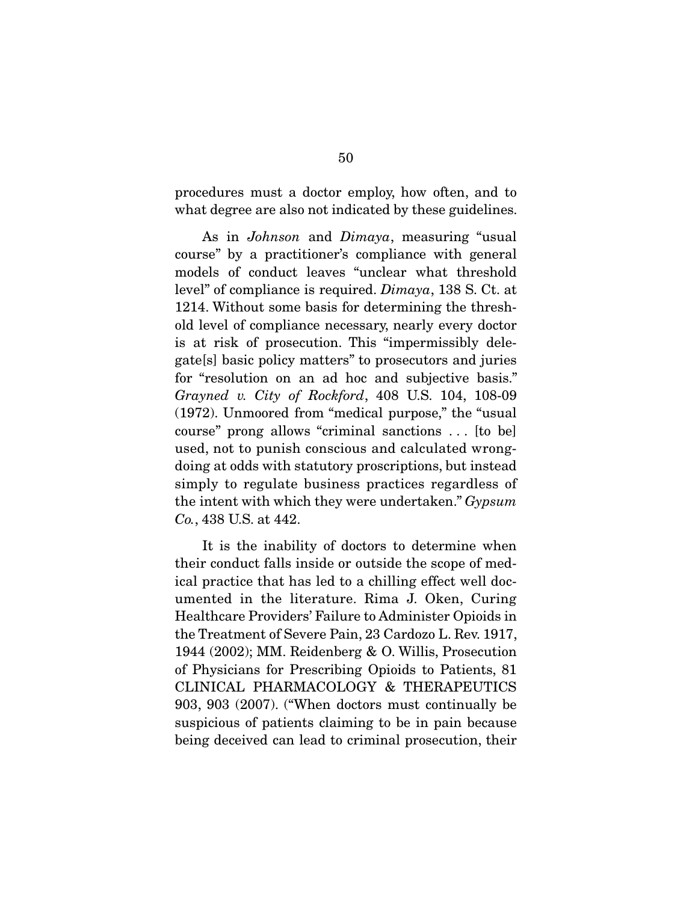procedures must a doctor employ, how often, and to what degree are also not indicated by these guidelines.

As in *Johnson* and *Dimaya*, measuring "usual course" by a practitioner's compliance with general models of conduct leaves "unclear what threshold level" of compliance is required. Dimaya, 138 S. Ct. at 1214. Without some basis for determining the threshold level of compliance necessary, nearly every doctor is at risk of prosecution. This "impermissibly delegate[s] basic policy matters" to prosecutors and juries for "resolution on an ad hoc and subjective basis." Grayned v. City of Rockford, 408 U.S. 104, 108-09 (1972). Unmoored from "medical purpose," the "usual course" prong allows "criminal sanctions . . . [to be] used, not to punish conscious and calculated wrongdoing at odds with statutory proscriptions, but instead simply to regulate business practices regardless of the intent with which they were undertaken." Gypsum Co., 438 U.S. at 442.

 It is the inability of doctors to determine when their conduct falls inside or outside the scope of medical practice that has led to a chilling effect well documented in the literature. Rima J. Oken, Curing Healthcare Providers' Failure to Administer Opioids in the Treatment of Severe Pain, 23 Cardozo L. Rev. 1917, 1944 (2002); MM. Reidenberg & O. Willis, Prosecution of Physicians for Prescribing Opioids to Patients, 81 CLINICAL PHARMACOLOGY & THERAPEUTICS 903, 903 (2007). ("When doctors must continually be suspicious of patients claiming to be in pain because being deceived can lead to criminal prosecution, their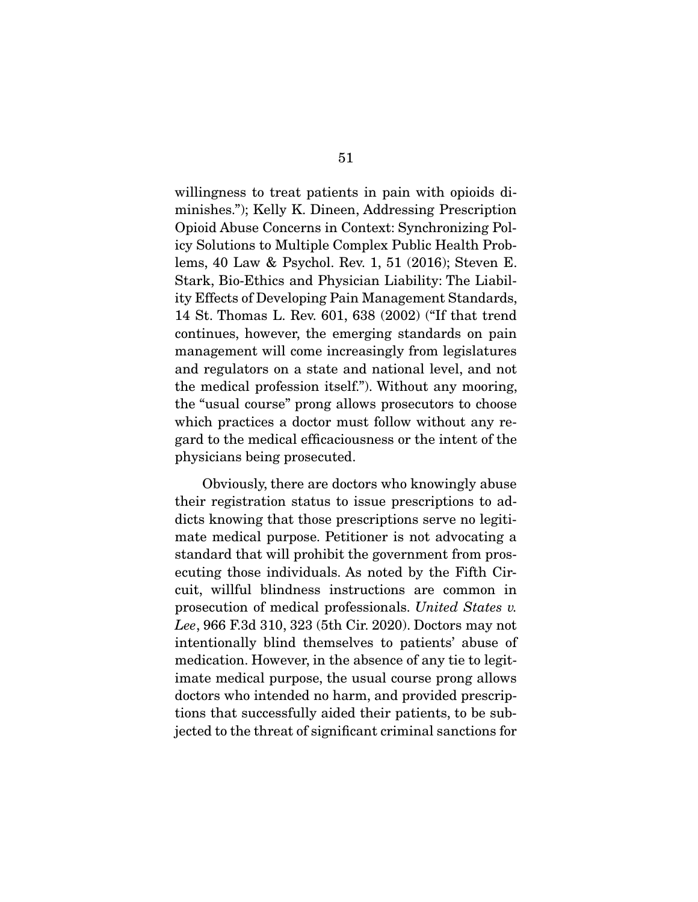willingness to treat patients in pain with opioids diminishes."); Kelly K. Dineen, Addressing Prescription Opioid Abuse Concerns in Context: Synchronizing Policy Solutions to Multiple Complex Public Health Problems, 40 Law & Psychol. Rev. 1, 51 (2016); Steven E. Stark, Bio-Ethics and Physician Liability: The Liability Effects of Developing Pain Management Standards, 14 St. Thomas L. Rev. 601, 638 (2002) ("If that trend continues, however, the emerging standards on pain management will come increasingly from legislatures and regulators on a state and national level, and not the medical profession itself."). Without any mooring, the "usual course" prong allows prosecutors to choose which practices a doctor must follow without any regard to the medical efficaciousness or the intent of the physicians being prosecuted.

 Obviously, there are doctors who knowingly abuse their registration status to issue prescriptions to addicts knowing that those prescriptions serve no legitimate medical purpose. Petitioner is not advocating a standard that will prohibit the government from prosecuting those individuals. As noted by the Fifth Circuit, willful blindness instructions are common in prosecution of medical professionals. United States v. Lee, 966 F.3d 310, 323 (5th Cir. 2020). Doctors may not intentionally blind themselves to patients' abuse of medication. However, in the absence of any tie to legitimate medical purpose, the usual course prong allows doctors who intended no harm, and provided prescriptions that successfully aided their patients, to be subjected to the threat of significant criminal sanctions for